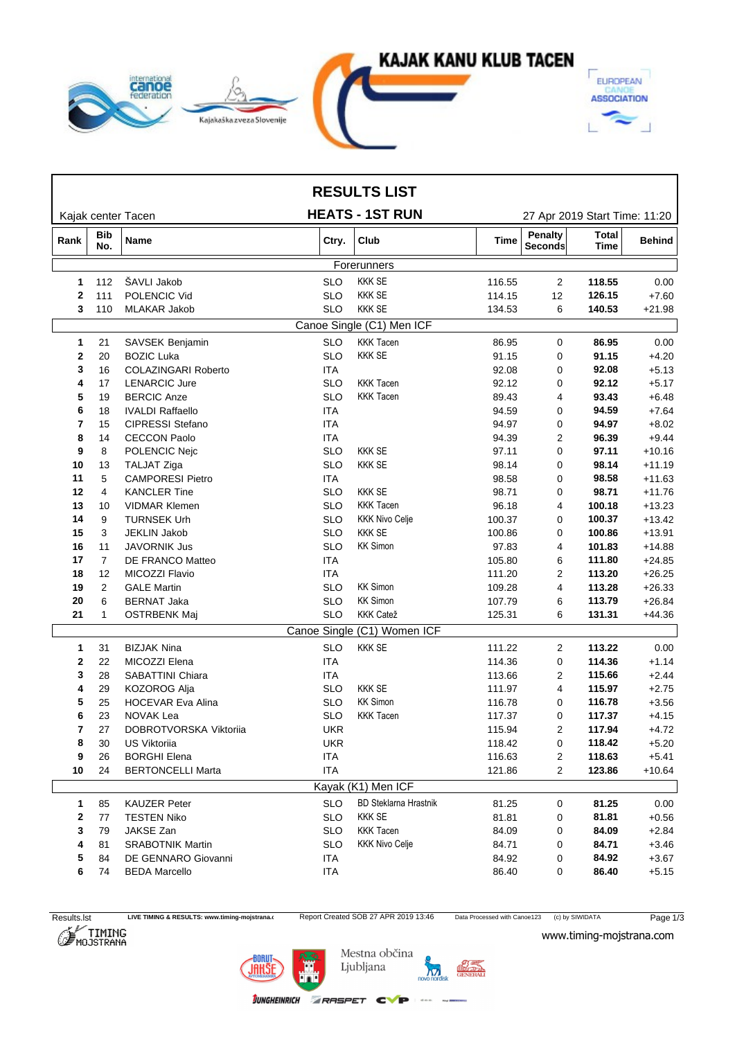

|                     |                           |                                        |                          | <b>RESULTS LIST</b>              |                  |                    |                               |                    |
|---------------------|---------------------------|----------------------------------------|--------------------------|----------------------------------|------------------|--------------------|-------------------------------|--------------------|
|                     |                           | Kajak center Tacen                     |                          | <b>HEATS - 1ST RUN</b>           |                  |                    | 27 Apr 2019 Start Time: 11:20 |                    |
| Rank                | <b>Bib</b><br>No.         | Name                                   | Ctry.                    | <b>Club</b>                      | <b>Time</b>      | Penalty<br>Seconds | Total<br>Time                 | <b>Behind</b>      |
|                     |                           |                                        |                          | Forerunners                      |                  |                    |                               |                    |
| 1                   | 112                       | ŠAVLI Jakob                            | <b>SLO</b>               | <b>KKK SE</b>                    | 116.55           | $\overline{2}$     | 118.55                        | 0.00               |
| $\mathbf{2}$        | 111                       | POLENCIC Vid                           | <b>SLO</b>               | <b>KKK SE</b>                    | 114.15           | 12                 | 126.15                        | $+7.60$            |
| 3                   | 110                       | <b>MLAKAR Jakob</b>                    | <b>SLO</b>               | <b>KKK SE</b>                    | 134.53           | 6                  | 140.53                        | $+21.98$           |
|                     | Canoe Single (C1) Men ICF |                                        |                          |                                  |                  |                    |                               |                    |
| 1                   | 21                        | SAVSEK Benjamin                        | <b>SLO</b>               | <b>KKK Tacen</b>                 | 86.95            | 0                  | 86.95                         | 0.00               |
| $\mathbf{2}$        | 20                        | <b>BOZIC Luka</b>                      | <b>SLO</b>               | <b>KKK SE</b>                    | 91.15            | 0                  | 91.15                         | $+4.20$            |
| 3                   | 16                        | <b>COLAZINGARI Roberto</b>             | <b>ITA</b>               |                                  | 92.08            | 0                  | 92.08                         | $+5.13$            |
| 4                   | 17                        | <b>LENARCIC Jure</b>                   | <b>SLO</b>               | <b>KKK Tacen</b>                 | 92.12            | 0                  | 92.12                         | $+5.17$            |
| 5                   | 19                        | <b>BERCIC Anze</b>                     | <b>SLO</b>               | <b>KKK Tacen</b>                 | 89.43            | 4                  | 93.43                         | $+6.48$            |
| 6                   | 18                        | <b>IVALDI Raffaello</b>                | <b>ITA</b>               |                                  | 94.59            | 0                  | 94.59                         | $+7.64$            |
| 7                   | 15                        | CIPRESSI Stefano                       | <b>ITA</b>               |                                  | 94.97            | 0                  | 94.97                         | $+8.02$            |
| 8                   | 14                        | <b>CECCON Paolo</b>                    | <b>ITA</b>               |                                  | 94.39            | 2                  | 96.39                         | $+9.44$            |
| 9                   | 8                         | POLENCIC Nejc                          | <b>SLO</b>               | <b>KKK SE</b>                    | 97.11            | 0                  | 97.11                         | $+10.16$           |
| 10                  | 13                        | <b>TALJAT Ziga</b>                     | <b>SLO</b>               | <b>KKK SE</b>                    | 98.14            | 0                  | 98.14                         | $+11.19$           |
| 11                  | 5                         | <b>CAMPORESI Pietro</b>                | ITA.                     |                                  | 98.58            | 0                  | 98.58                         | $+11.63$           |
| 12                  | 4                         | <b>KANCLER Tine</b>                    | <b>SLO</b>               | <b>KKK SE</b>                    | 98.71            | 0                  | 98.71                         | $+11.76$           |
| 13                  | 10                        | <b>VIDMAR Klemen</b>                   | <b>SLO</b>               | <b>KKK Tacen</b>                 | 96.18            | 4                  | 100.18                        | $+13.23$           |
| 14                  | 9                         | <b>TURNSEK Urh</b>                     | <b>SLO</b>               | <b>KKK Nivo Celje</b>            | 100.37           | 0                  | 100.37                        | $+13.42$           |
| 15                  | 3                         | <b>JEKLIN Jakob</b>                    | <b>SLO</b>               | <b>KKK SE</b>                    | 100.86           | 0                  | 100.86                        | $+13.91$           |
| 16                  | 11                        | <b>JAVORNIK Jus</b>                    | <b>SLO</b>               | <b>KK Simon</b>                  | 97.83            | 4                  | 101.83                        | $+14.88$           |
| 17                  | $\overline{7}$            | DE FRANCO Matteo                       | <b>ITA</b>               |                                  | 105.80           | 6                  | 111.80                        | $+24.85$           |
| 18                  | 12                        | MICOZZI Flavio                         | <b>ITA</b>               | <b>KK Simon</b>                  | 111.20           | 2                  | 113.20                        | $+26.25$           |
| 19                  | $\overline{2}$            | <b>GALE Martin</b>                     | <b>SLO</b><br><b>SLO</b> | <b>KK Simon</b>                  | 109.28           | 4                  | 113.28                        | $+26.33$           |
| 20                  | 6                         | <b>BERNAT Jaka</b>                     |                          | <b>KKK Catež</b>                 | 107.79           | 6                  | 113.79                        | $+26.84$           |
| 21                  | $\mathbf{1}$              | <b>OSTRBENK Maj</b>                    | <b>SLO</b>               | Canoe Single (C1) Women ICF      | 125.31           | 6                  | 131.31                        | $+44.36$           |
|                     |                           |                                        |                          |                                  |                  |                    |                               |                    |
| 1                   | 31                        | <b>BIZJAK Nina</b>                     | <b>SLO</b>               | <b>KKK SE</b>                    | 111.22           | $\overline{2}$     | 113.22                        | 0.00               |
| 2                   | 22                        | MICOZZI Elena                          | <b>ITA</b>               |                                  | 114.36           | 0                  | 114.36                        | $+1.14$            |
| 3                   | 28                        | SABATTINI Chiara                       | ITA.                     |                                  | 113.66           | 2                  | 115.66                        | $+2.44$            |
| 4                   | 29                        | KOZOROG Alja                           | <b>SLO</b><br><b>SLO</b> | <b>KKK SE</b><br><b>KK Simon</b> | 111.97           | 4                  | 115.97                        | $+2.75$            |
| 5                   | 25<br>23                  | HOCEVAR Eva Alina<br><b>NOVAK Lea</b>  | <b>SLO</b>               | <b>KKK Tacen</b>                 | 116.78           | 0<br>0             | 116.78<br>117.37              | $+3.56$            |
| 6<br>$\overline{7}$ | 27                        |                                        | <b>UKR</b>               |                                  | 117.37<br>115.94 | 2                  | 117.94                        | $+4.15$<br>$+4.72$ |
| 8                   | 30                        | DOBROTVORSKA Viktoriia<br>US Viktoriia | <b>UKR</b>               |                                  | 118.42           | 0                  | 118.42                        | $+5.20$            |
| 9                   | 26                        | <b>BORGHI Elena</b>                    | <b>ITA</b>               |                                  | 116.63           | 2                  | 118.63                        | $+5.41$            |
| 10                  | 24                        | <b>BERTONCELLI Marta</b>               | <b>ITA</b>               |                                  | 121.86           | $\overline{2}$     | 123.86                        | $+10.64$           |
|                     |                           |                                        |                          | Kayak (K1) Men ICF               |                  |                    |                               |                    |
|                     | 85                        | <b>KAUZER Peter</b>                    | <b>SLO</b>               | <b>BD Steklarna Hrastnik</b>     |                  |                    | 81.25                         | 0.00               |
| 1                   |                           |                                        |                          | <b>KKK SE</b>                    | 81.25            | 0                  |                               |                    |
| 2                   | 77<br>79                  | <b>TESTEN Niko</b><br>JAKSE Zan        | <b>SLO</b><br><b>SLO</b> | <b>KKK Tacen</b>                 | 81.81<br>84.09   | 0<br>0             | 81.81<br>84.09                | $+0.56$            |
| 3<br>4              | 81                        | <b>SRABOTNIK Martin</b>                | <b>SLO</b>               | <b>KKK Nivo Celje</b>            | 84.71            | 0                  | 84.71                         | $+2.84$<br>$+3.46$ |
| 5                   | 84                        | DE GENNARO Giovanni                    | ITA                      |                                  | 84.92            | 0                  | 84.92                         | $+3.67$            |
| 6                   | 74                        | <b>BEDA Marcello</b>                   | <b>ITA</b>               |                                  | 86.40            | 0                  | 86.40                         | $+5.15$            |
|                     |                           |                                        |                          |                                  |                  |                    |                               |                    |

Results.lst LIVE TIMING & RESULTS: www.timing-mojstrana.com<br>
Report Created SOB 27 APR 2019 13:46 Data Processed with Canoe123 (c) by SIWIDATA Page 1/3<br>
MOJSTRANA WWW.timing-mojstrana.com





**JUNGHEINRICH ZRASPET CVP** 



 $1.400$  matrix

www.timing-mojstrana.com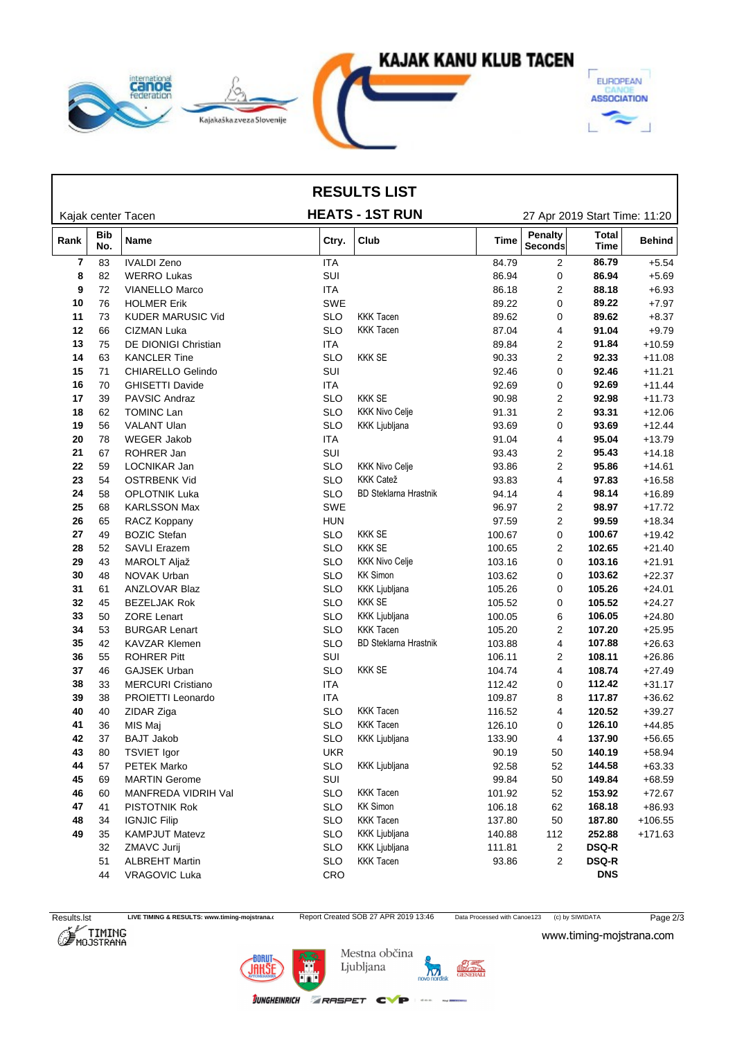

## **RESULTS LIST**

|  | 27 Apr 2019 Start Time: 11:20 |  |
|--|-------------------------------|--|
|  |                               |  |
|  |                               |  |

|      |                   | Kajak center Tacen          | <b>HEATS - 1ST RUN</b> |                              |        | 27 Apr 2019 Start Time: 11:20 |                             |               |  |  |
|------|-------------------|-----------------------------|------------------------|------------------------------|--------|-------------------------------|-----------------------------|---------------|--|--|
| Rank | <b>Bib</b><br>No. | Name                        | Ctry.                  | Club                         | Time   | Penalty<br>Seconds            | <b>Total</b><br><b>Time</b> | <b>Behind</b> |  |  |
| 7    | 83                | <b>IVALDI Zeno</b>          | <b>ITA</b>             |                              | 84.79  | $\overline{c}$                | 86.79                       | $+5.54$       |  |  |
| 8    | 82                | <b>WERRO Lukas</b>          | SUI                    |                              | 86.94  | 0                             | 86.94                       | $+5.69$       |  |  |
| 9    | 72                | <b>VIANELLO Marco</b>       | <b>ITA</b>             |                              | 86.18  | 2                             | 88.18                       | $+6.93$       |  |  |
| 10   | 76                | <b>HOLMER Erik</b>          | <b>SWE</b>             |                              | 89.22  | 0                             | 89.22                       | $+7.97$       |  |  |
| 11   | 73                | <b>KUDER MARUSIC Vid</b>    | <b>SLO</b>             | <b>KKK Tacen</b>             | 89.62  | 0                             | 89.62                       | $+8.37$       |  |  |
| 12   | 66                | CIZMAN Luka                 | <b>SLO</b>             | <b>KKK Tacen</b>             | 87.04  | 4                             | 91.04                       | $+9.79$       |  |  |
| 13   | 75                | <b>DE DIONIGI Christian</b> | <b>ITA</b>             |                              | 89.84  | 2                             | 91.84                       | $+10.59$      |  |  |
| 14   | 63                | <b>KANCLER Tine</b>         | <b>SLO</b>             | <b>KKK SE</b>                | 90.33  | $\overline{2}$                | 92.33                       | $+11.08$      |  |  |
| 15   | 71                | CHIARELLO Gelindo           | SUI                    |                              | 92.46  | 0                             | 92.46                       | $+11.21$      |  |  |
| 16   | 70                | <b>GHISETTI Davide</b>      | <b>ITA</b>             |                              | 92.69  | 0                             | 92.69                       | $+11.44$      |  |  |
| 17   | 39                | PAVSIC Andraz               | <b>SLO</b>             | <b>KKK SE</b>                | 90.98  | 2                             | 92.98                       | $+11.73$      |  |  |
| 18   | 62                | <b>TOMINC Lan</b>           | <b>SLO</b>             | <b>KKK Nivo Celje</b>        | 91.31  | $\overline{2}$                | 93.31                       | $+12.06$      |  |  |
| 19   | 56                | VALANT Ulan                 | <b>SLO</b>             | KKK Ljubljana                | 93.69  | 0                             | 93.69                       | $+12.44$      |  |  |
| 20   | 78                | <b>WEGER Jakob</b>          | ITA                    |                              | 91.04  | 4                             | 95.04                       | $+13.79$      |  |  |
| 21   | 67                | ROHRER Jan                  | SUI                    |                              | 93.43  | 2                             | 95.43                       | $+14.18$      |  |  |
| 22   | 59                | LOCNIKAR Jan                | <b>SLO</b>             | <b>KKK Nivo Celje</b>        | 93.86  | $\overline{2}$                | 95.86                       | $+14.61$      |  |  |
| 23   | 54                | <b>OSTRBENK Vid</b>         | <b>SLO</b>             | <b>KKK Catež</b>             | 93.83  | 4                             | 97.83                       | $+16.58$      |  |  |
| 24   | 58                | <b>OPLOTNIK Luka</b>        | <b>SLO</b>             | <b>BD Steklarna Hrastnik</b> | 94.14  | 4                             | 98.14                       | $+16.89$      |  |  |
| 25   | 68                | <b>KARLSSON Max</b>         | SWE                    |                              | 96.97  | 2                             | 98.97                       | $+17.72$      |  |  |
| 26   | 65                | RACZ Koppany                | <b>HUN</b>             |                              | 97.59  | $\overline{2}$                | 99.59                       | $+18.34$      |  |  |
| 27   | 49                | <b>BOZIC Stefan</b>         | <b>SLO</b>             | <b>KKK SE</b>                | 100.67 | 0                             | 100.67                      | $+19.42$      |  |  |
| 28   | 52                | <b>SAVLI Erazem</b>         | <b>SLO</b>             | <b>KKK SE</b>                | 100.65 | 2                             | 102.65                      | $+21.40$      |  |  |
| 29   | 43                | MAROLT Aljaž                | <b>SLO</b>             | <b>KKK Nivo Celje</b>        | 103.16 | 0                             | 103.16                      | $+21.91$      |  |  |
| 30   | 48                | NOVAK Urban                 | <b>SLO</b>             | <b>KK Simon</b>              | 103.62 | 0                             | 103.62                      | $+22.37$      |  |  |
| 31   | 61                | ANZLOVAR Blaz               | <b>SLO</b>             | <b>KKK Ljubljana</b>         | 105.26 | 0                             | 105.26                      | $+24.01$      |  |  |
| 32   | 45                | <b>BEZELJAK Rok</b>         | <b>SLO</b>             | <b>KKK SE</b>                | 105.52 | 0                             | 105.52                      | $+24.27$      |  |  |
| 33   | 50                | <b>ZORE Lenart</b>          | <b>SLO</b>             | KKK Ljubljana                | 100.05 | 6                             | 106.05                      | $+24.80$      |  |  |
| 34   | 53                | <b>BURGAR Lenart</b>        | <b>SLO</b>             | <b>KKK Tacen</b>             | 105.20 | 2                             | 107.20                      | $+25.95$      |  |  |
| 35   | 42                | <b>KAVZAR Klemen</b>        | <b>SLO</b>             | <b>BD Steklarna Hrastnik</b> | 103.88 | 4                             | 107.88                      | $+26.63$      |  |  |
| 36   | 55                | <b>ROHRER Pitt</b>          | SUI                    |                              | 106.11 | 2                             | 108.11                      | $+26.86$      |  |  |
| 37   | 46                | <b>GAJSEK Urban</b>         | <b>SLO</b>             | <b>KKK SE</b>                | 104.74 | 4                             | 108.74                      | $+27.49$      |  |  |
| 38   | 33                | <b>MERCURI Cristiano</b>    | ITA                    |                              | 112.42 | 0                             | 112.42                      | $+31.17$      |  |  |
| 39   | 38                | PROIETTI Leonardo           | ITA                    |                              | 109.87 | 8                             | 117.87                      | $+36.62$      |  |  |
| 40   | 40                |                             | <b>SLO</b>             | <b>KKK Tacen</b>             | 116.52 | 4                             | 120.52                      | $+39.27$      |  |  |
|      | 36                | ZIDAR Ziga<br>MIS Maj       | <b>SLO</b>             | <b>KKK Tacen</b>             | 126.10 | 0                             |                             | $+44.85$      |  |  |
| 41   |                   |                             |                        | KKK Ljubljana                |        |                               | 126.10<br>137.90            |               |  |  |
| 42   | 37                | <b>BAJT Jakob</b>           | <b>SLO</b>             |                              | 133.90 | 4                             |                             | $+56.65$      |  |  |
| 43   | 80                | <b>TSVIET Igor</b>          | <b>UKR</b>             |                              | 90.19  | 50                            | 140.19                      | $+58.94$      |  |  |
| 44   | 57                | PETEK Marko                 | SLO                    | KKK Ljubljana                | 92.58  | 52                            | 144.58                      | +63.33        |  |  |
| 45   | 69                | <b>MARTIN Gerome</b>        | SUI                    |                              | 99.84  | 50                            | 149.84                      | $+68.59$      |  |  |
| 46   | 60                | MANFREDA VIDRIH Val         | <b>SLO</b>             | <b>KKK Tacen</b>             | 101.92 | 52                            | 153.92                      | $+72.67$      |  |  |
| 47   | 41                | PISTOTNIK Rok               | <b>SLO</b>             | <b>KK Simon</b>              | 106.18 | 62                            | 168.18                      | $+86.93$      |  |  |
| 48   | 34                | <b>IGNJIC Filip</b>         | <b>SLO</b>             | <b>KKK Tacen</b>             | 137.80 | 50                            | 187.80                      | $+106.55$     |  |  |
| 49   | 35                | <b>KAMPJUT Matevz</b>       | <b>SLO</b>             | <b>KKK Ljubljana</b>         | 140.88 | 112                           | 252.88                      | $+171.63$     |  |  |
|      | 32                | ZMAVC Jurij                 | <b>SLO</b>             | <b>KKK Ljubljana</b>         | 111.81 | 2                             | <b>DSQ-R</b>                |               |  |  |
|      | 51                | <b>ALBREHT Martin</b>       | <b>SLO</b>             | <b>KKK Tacen</b>             | 93.86  | 2                             | <b>DSQ-R</b>                |               |  |  |
|      | 44                | <b>VRAGOVIC Luka</b>        | CRO                    |                              |        |                               | <b>DNS</b>                  |               |  |  |

www.timing-mojstrana.com





**JUNGHEINRICH ZRASPET CVP 800 WWW.** 

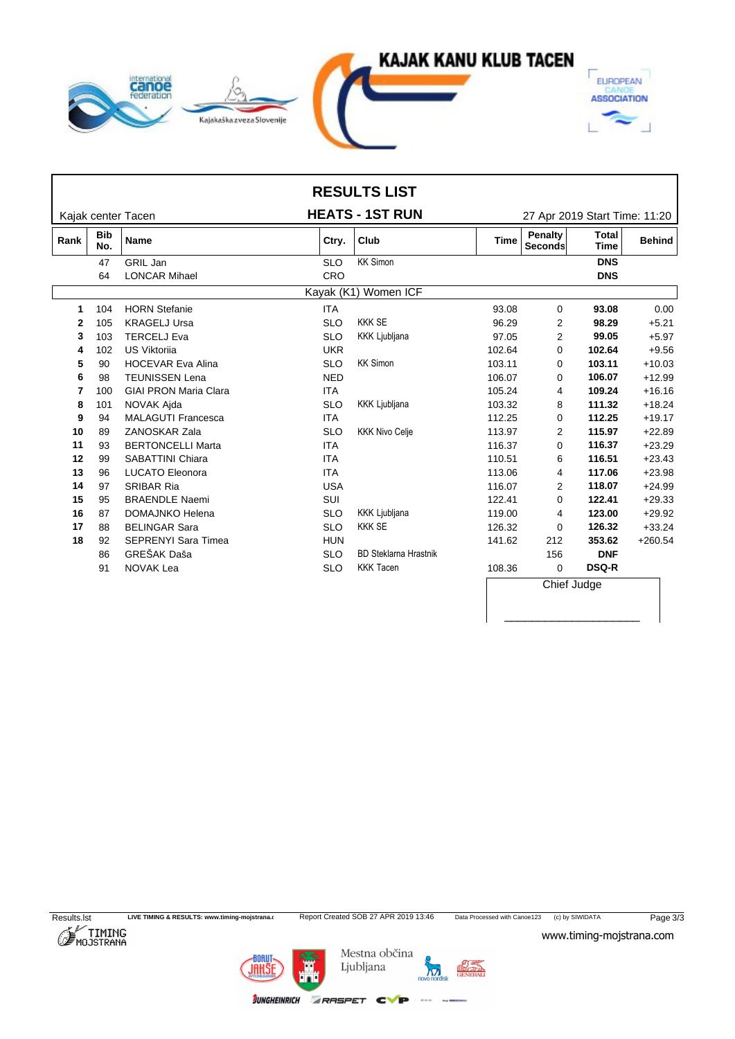

|      |                   |                              |            | <b>RESULTS LIST</b>          |             |                               |                             |               |
|------|-------------------|------------------------------|------------|------------------------------|-------------|-------------------------------|-----------------------------|---------------|
|      |                   | Kajak center Tacen           |            | <b>HEATS - 1ST RUN</b>       |             | 27 Apr 2019 Start Time: 11:20 |                             |               |
| Rank | <b>Bib</b><br>No. | <b>Name</b>                  | Ctry.      | Club                         | <b>Time</b> | Penalty<br>Seconds            | <b>Total</b><br><b>Time</b> | <b>Behind</b> |
|      | 47                | <b>GRIL Jan</b>              | <b>SLO</b> | <b>KK Simon</b>              |             |                               | <b>DNS</b>                  |               |
|      | 64                | <b>LONCAR Mihael</b>         | CRO        |                              |             |                               | <b>DNS</b>                  |               |
|      |                   |                              |            | Kayak (K1) Women ICF         |             |                               |                             |               |
|      | 104               | <b>HORN Stefanie</b>         | <b>ITA</b> |                              | 93.08       | 0                             | 93.08                       | 0.00          |
| 2    | 105               | <b>KRAGELJ Ursa</b>          | <b>SLO</b> | <b>KKK SE</b>                | 96.29       | 2                             | 98.29                       | $+5.21$       |
| 3    | 103               | <b>TERCELJ Eva</b>           | <b>SLO</b> | <b>KKK Ljubljana</b>         | 97.05       | 2                             | 99.05                       | $+5.97$       |
| 4    | 102               | <b>US Viktorija</b>          | <b>UKR</b> |                              | 102.64      | $\Omega$                      | 102.64                      | $+9.56$       |
| 5    | 90                | <b>HOCEVAR Eva Alina</b>     | <b>SLO</b> | <b>KK Simon</b>              | 103.11      | 0                             | 103.11                      | $+10.03$      |
| 6    | 98                | <b>TEUNISSEN Lena</b>        | <b>NED</b> |                              | 106.07      | 0                             | 106.07                      | $+12.99$      |
| 7    | 100               | <b>GIAI PRON Maria Clara</b> | <b>ITA</b> |                              | 105.24      | 4                             | 109.24                      | $+16.16$      |
| 8    | 101               | NOVAK Ajda                   | <b>SLO</b> | KKK Ljubljana                | 103.32      | 8                             | 111.32                      | $+18.24$      |
| 9    | 94                | <b>MALAGUTI Francesca</b>    | <b>ITA</b> |                              | 112.25      | $\Omega$                      | 112.25                      | $+19.17$      |
| 10   | 89                | <b>ZANOSKAR Zala</b>         | <b>SLO</b> | <b>KKK Nivo Celje</b>        | 113.97      | $\overline{2}$                | 115.97                      | $+22.89$      |
| 11   | 93                | <b>BERTONCELLI Marta</b>     | <b>ITA</b> |                              | 116.37      | $\Omega$                      | 116.37                      | $+23.29$      |
| 12   | 99                | <b>SABATTINI Chiara</b>      | <b>ITA</b> |                              | 110.51      | 6                             | 116.51                      | $+23.43$      |
| 13   | 96                | <b>LUCATO Eleonora</b>       | <b>ITA</b> |                              | 113.06      | 4                             | 117.06                      | $+23.98$      |
| 14   | 97                | <b>SRIBAR Ria</b>            | <b>USA</b> |                              | 116.07      | 2                             | 118.07                      | $+24.99$      |
| 15   | 95                | <b>BRAENDLE Naemi</b>        | SUI        |                              | 122.41      | $\Omega$                      | 122.41                      | $+29.33$      |
| 16   | 87                | DOMAJNKO Helena              | <b>SLO</b> | <b>KKK Ljubljana</b>         | 119.00      | 4                             | 123.00                      | $+29.92$      |
| 17   | 88                | <b>BELINGAR Sara</b>         | <b>SLO</b> | <b>KKK SE</b>                | 126.32      | $\Omega$                      | 126.32                      | $+33.24$      |
| 18   | 92                | <b>SEPRENYI Sara Timea</b>   | <b>HUN</b> |                              | 141.62      | 212                           | 353.62                      | $+260.54$     |
|      | 86                | GREŠAK Daša                  | <b>SLO</b> | <b>BD Steklarna Hrastnik</b> |             | 156                           | <b>DNF</b>                  |               |
|      | 91                | <b>NOVAK Lea</b>             | <b>SLO</b> | <b>KKK Tacen</b>             | 108.36      | 0                             | <b>DSQ-R</b>                |               |
|      |                   |                              |            |                              |             | Chief Judge                   |                             |               |

\_\_\_\_\_\_\_\_\_\_\_\_\_\_\_\_\_\_\_\_



BORUT<br>JAHŠ

Mestna občina Ljubljana

**JUNGHEINRICH ZRASPET CVP** 

novo nordis

 $1 - 400$ 

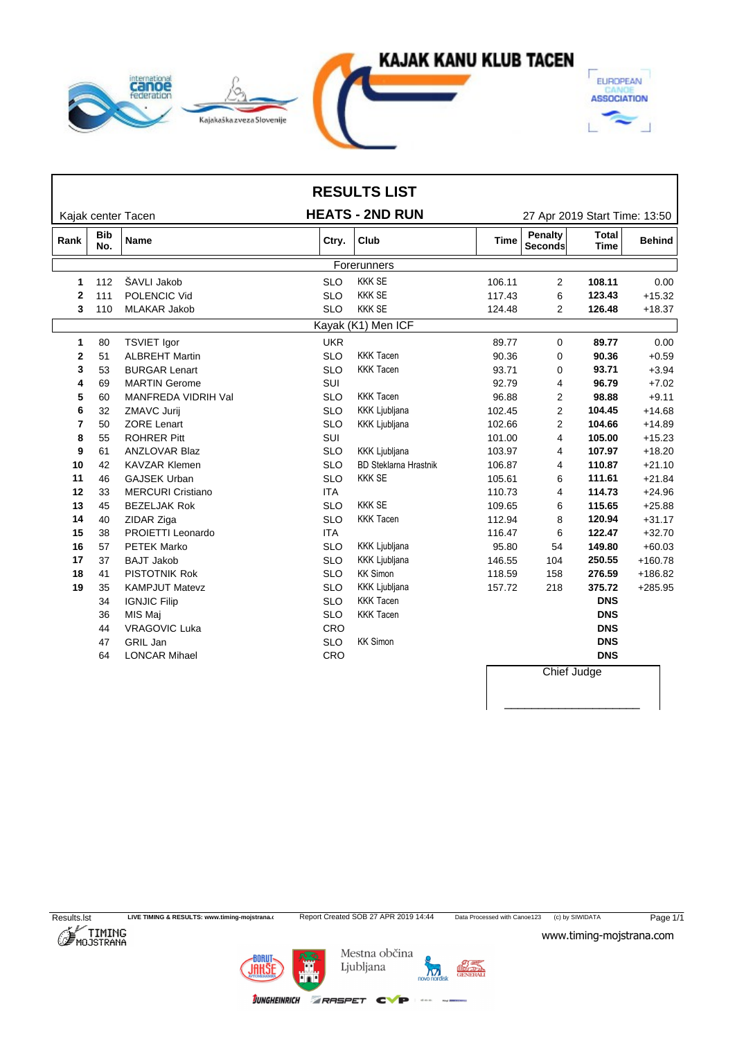

|              |                                  |                          |            | <b>RESULTS LIST</b>          |             |                                                          |                               |               |  |  |  |
|--------------|----------------------------------|--------------------------|------------|------------------------------|-------------|----------------------------------------------------------|-------------------------------|---------------|--|--|--|
|              |                                  | Kajak center Tacen       |            | <b>HEATS - 2ND RUN</b>       |             |                                                          | 27 Apr 2019 Start Time: 13:50 |               |  |  |  |
| Rank         | <b>Bib</b><br><b>Name</b><br>No. |                          | Ctry.      | Club                         | <b>Time</b> | <b>Penalty</b><br>Total<br><b>Seconds</b><br><b>Time</b> |                               | <b>Behind</b> |  |  |  |
|              | Forerunners                      |                          |            |                              |             |                                                          |                               |               |  |  |  |
| 1            | 112                              | ŠAVLI Jakob              | <b>SLO</b> | <b>KKK SE</b>                | 106.11      | 2                                                        | 108.11                        | 0.00          |  |  |  |
| $\mathbf{2}$ | 111                              | POLENCIC Vid             | <b>SLO</b> | <b>KKK SE</b>                | 117.43      | 6                                                        | 123.43                        | $+15.32$      |  |  |  |
| 3            | 110                              | <b>MLAKAR Jakob</b>      | <b>SLO</b> | <b>KKK SE</b>                | 124.48      | $\overline{2}$                                           | 126.48                        | $+18.37$      |  |  |  |
|              |                                  |                          |            | Kayak (K1) Men ICF           |             |                                                          |                               |               |  |  |  |
| 1            | 80                               | <b>TSVIET lgor</b>       | <b>UKR</b> |                              | 89.77       | 0                                                        | 89.77                         | 0.00          |  |  |  |
| 2            | 51                               | <b>ALBREHT Martin</b>    | <b>SLO</b> | <b>KKK Tacen</b>             | 90.36       | 0                                                        | 90.36                         | $+0.59$       |  |  |  |
| 3            | 53                               | <b>BURGAR Lenart</b>     | <b>SLO</b> | <b>KKK Tacen</b>             | 93.71       | 0                                                        | 93.71                         | $+3.94$       |  |  |  |
| 4            | 69                               | <b>MARTIN Gerome</b>     | SUI        |                              | 92.79       | 4                                                        | 96.79                         | $+7.02$       |  |  |  |
| 5            | 60                               | MANFREDA VIDRIH Val      | <b>SLO</b> | <b>KKK Tacen</b>             | 96.88       | 2                                                        | 98.88                         | $+9.11$       |  |  |  |
| 6            | 32                               | ZMAVC Jurij              | <b>SLO</b> | <b>KKK Ljubljana</b>         | 102.45      | 2                                                        | 104.45                        | $+14.68$      |  |  |  |
| 7            | 50                               | <b>ZORE Lenart</b>       | <b>SLO</b> | <b>KKK Ljubljana</b>         | 102.66      | 2                                                        | 104.66                        | $+14.89$      |  |  |  |
| 8            | 55                               | <b>ROHRER Pitt</b>       | SUI        |                              | 101.00      | 4                                                        | 105.00                        | $+15.23$      |  |  |  |
| 9            | 61                               | <b>ANZLOVAR Blaz</b>     | <b>SLO</b> | <b>KKK Ljubljana</b>         | 103.97      | 4                                                        | 107.97                        | $+18.20$      |  |  |  |
| 10           | 42                               | <b>KAVZAR Klemen</b>     | <b>SLO</b> | <b>BD Steklarna Hrastnik</b> | 106.87      | 4                                                        | 110.87                        | $+21.10$      |  |  |  |
| 11           | 46                               | <b>GAJSEK Urban</b>      | <b>SLO</b> | <b>KKK SE</b>                | 105.61      | 6                                                        | 111.61                        | $+21.84$      |  |  |  |
| 12           | 33                               | <b>MERCURI Cristiano</b> | <b>ITA</b> |                              | 110.73      | 4                                                        | 114.73                        | $+24.96$      |  |  |  |
| 13           | 45                               | <b>BEZELJAK Rok</b>      | <b>SLO</b> | <b>KKK SE</b>                | 109.65      | 6                                                        | 115.65                        | $+25.88$      |  |  |  |
| 14           | 40                               | ZIDAR Ziga               | <b>SLO</b> | <b>KKK Tacen</b>             | 112.94      | 8                                                        | 120.94                        | $+31.17$      |  |  |  |
| 15           | 38                               | PROIETTI Leonardo        | <b>ITA</b> |                              | 116.47      | 6                                                        | 122.47                        | $+32.70$      |  |  |  |
| 16           | 57                               | <b>PETEK Marko</b>       | <b>SLO</b> | <b>KKK Ljubljana</b>         | 95.80       | 54                                                       | 149.80                        | $+60.03$      |  |  |  |
| 17           | 37                               | <b>BAJT Jakob</b>        | <b>SLO</b> | KKK Ljubljana                | 146.55      | 104                                                      | 250.55                        | $+160.78$     |  |  |  |
| 18           | 41                               | <b>PISTOTNIK Rok</b>     | <b>SLO</b> | <b>KK Simon</b>              | 118.59      | 158                                                      | 276.59                        | $+186.82$     |  |  |  |
| 19           | 35                               | <b>KAMPJUT Matevz</b>    | <b>SLO</b> | <b>KKK Ljubljana</b>         | 157.72      | 218                                                      | 375.72                        | $+285.95$     |  |  |  |
|              | 34                               | <b>IGNJIC Filip</b>      | <b>SLO</b> | <b>KKK Tacen</b>             |             |                                                          | <b>DNS</b>                    |               |  |  |  |
|              | 36                               | MIS Maj                  | <b>SLO</b> | <b>KKK Tacen</b>             |             |                                                          | <b>DNS</b>                    |               |  |  |  |
|              | 44                               | <b>VRAGOVIC Luka</b>     | <b>CRO</b> |                              |             |                                                          | <b>DNS</b>                    |               |  |  |  |
|              | 47                               | GRIL Jan                 | <b>SLO</b> | <b>KK Simon</b>              |             |                                                          | <b>DNS</b>                    |               |  |  |  |
|              | 64                               | <b>LONCAR Mihael</b>     | CRO        |                              |             |                                                          | <b>DNS</b>                    |               |  |  |  |
|              |                                  |                          |            |                              |             | Chief Judge                                              |                               |               |  |  |  |



\_\_\_\_\_\_\_\_\_\_\_\_\_\_\_\_\_\_\_\_

**JUNGHEINRICH ZRASPET CVP** 

BORUT<br>JAHŠ

Mestna občina Ljubljana

novo nordis  $\sum_{\text{BAL}}$ 

 $1 - 400$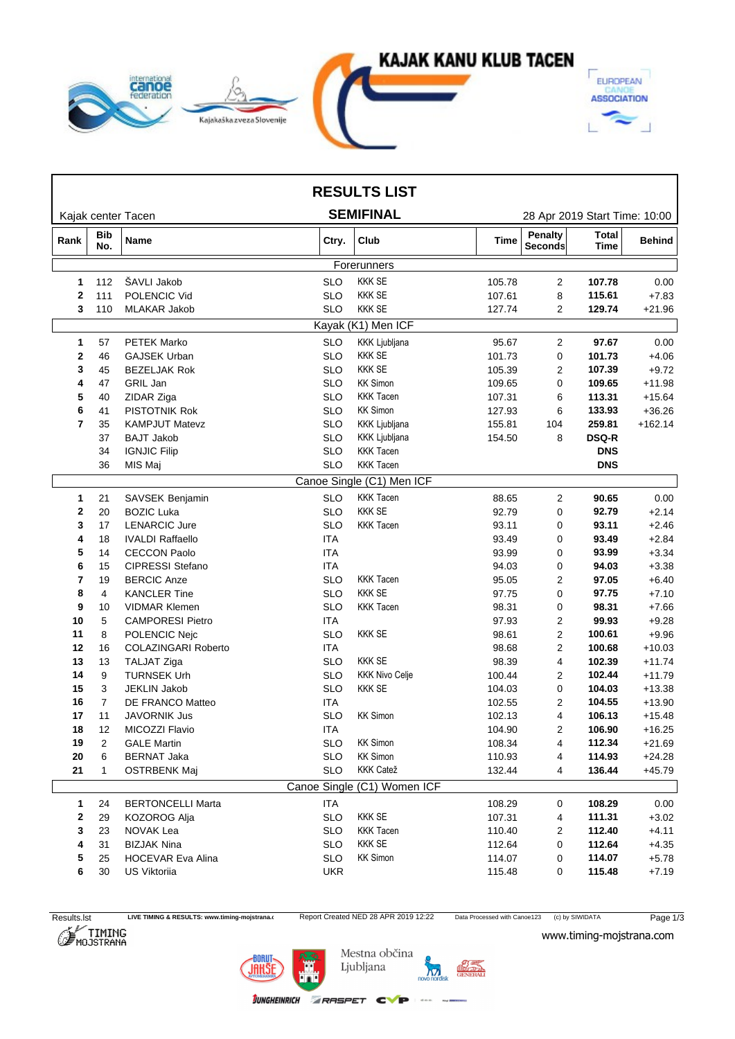

|                  |                   |                            |            | <b>RESULTS LIST</b>         |        |                                  |                               |               |
|------------------|-------------------|----------------------------|------------|-----------------------------|--------|----------------------------------|-------------------------------|---------------|
|                  |                   | Kajak center Tacen         |            | <b>SEMIFINAL</b>            |        |                                  | 28 Apr 2019 Start Time: 10:00 |               |
| Rank             | <b>Bib</b><br>No. | Name                       | Ctry.      | Club                        | Time   | <b>Penalty</b><br><b>Seconds</b> | <b>Total</b><br>Time          | <b>Behind</b> |
|                  |                   |                            |            | Forerunners                 |        |                                  |                               |               |
| $\mathbf 1$      | 112               | ŠAVLI Jakob                | <b>SLO</b> | <b>KKK SE</b>               | 105.78 | $\overline{c}$                   | 107.78                        | 0.00          |
| $\mathbf{2}$     | 111               | POLENCIC Vid               | <b>SLO</b> | <b>KKK SE</b>               | 107.61 | 8                                | 115.61                        | $+7.83$       |
| 3                | 110               | MLAKAR Jakob               | <b>SLO</b> | <b>KKK SE</b>               | 127.74 | $\overline{2}$                   | 129.74                        | $+21.96$      |
|                  |                   |                            |            | Kayak (K1) Men ICF          |        |                                  |                               |               |
| 1                | 57                | <b>PETEK Marko</b>         | <b>SLO</b> | KKK Ljubljana               | 95.67  | 2                                | 97.67                         | 0.00          |
| $\boldsymbol{2}$ | 46                | <b>GAJSEK Urban</b>        | <b>SLO</b> | <b>KKK SE</b>               | 101.73 | 0                                | 101.73                        | $+4.06$       |
| 3                | 45                | <b>BEZELJAK Rok</b>        | <b>SLO</b> | <b>KKK SE</b>               | 105.39 | 2                                | 107.39                        | $+9.72$       |
| 4                | 47                | GRIL Jan                   | <b>SLO</b> | <b>KK Simon</b>             | 109.65 | 0                                | 109.65                        | $+11.98$      |
| 5                | 40                | ZIDAR Ziga                 | <b>SLO</b> | <b>KKK Tacen</b>            | 107.31 | 6                                | 113.31                        | $+15.64$      |
| 6                | 41                | PISTOTNIK Rok              | <b>SLO</b> | <b>KK Simon</b>             | 127.93 | 6                                | 133.93                        | $+36.26$      |
| 7                | 35                | <b>KAMPJUT Matevz</b>      | <b>SLO</b> | KKK Ljubljana               | 155.81 | 104                              | 259.81                        | $+162.14$     |
|                  | 37                | <b>BAJT Jakob</b>          | <b>SLO</b> | KKK Ljubljana               | 154.50 | 8                                | <b>DSQ-R</b>                  |               |
|                  | 34                | <b>IGNJIC Filip</b>        | <b>SLO</b> | <b>KKK Tacen</b>            |        |                                  | <b>DNS</b>                    |               |
|                  | 36                | MIS Maj                    | <b>SLO</b> | <b>KKK Tacen</b>            |        |                                  | <b>DNS</b>                    |               |
|                  |                   |                            |            | Canoe Single (C1) Men ICF   |        |                                  |                               |               |
| 1                | 21                | SAVSEK Benjamin            | <b>SLO</b> | <b>KKK Tacen</b>            | 88.65  | 2                                | 90.65                         | 0.00          |
| 2                | 20                | <b>BOZIC Luka</b>          | <b>SLO</b> | <b>KKK SE</b>               | 92.79  | 0                                | 92.79                         | $+2.14$       |
| 3                | 17                | <b>LENARCIC Jure</b>       | <b>SLO</b> | <b>KKK Tacen</b>            | 93.11  | 0                                | 93.11                         | $+2.46$       |
| 4                | 18                | <b>IVALDI Raffaello</b>    | <b>ITA</b> |                             | 93.49  | 0                                | 93.49                         | $+2.84$       |
| 5                | 14                | <b>CECCON Paolo</b>        | <b>ITA</b> |                             | 93.99  | 0                                | 93.99                         | $+3.34$       |
| 6                | 15                | <b>CIPRESSI Stefano</b>    | <b>ITA</b> |                             | 94.03  | 0                                | 94.03                         | $+3.38$       |
| 7                | 19                | <b>BERCIC Anze</b>         | <b>SLO</b> | <b>KKK Tacen</b>            | 95.05  | 2                                | 97.05                         | $+6.40$       |
| 8                | 4                 | <b>KANCLER Tine</b>        | <b>SLO</b> | <b>KKK SE</b>               | 97.75  | 0                                | 97.75                         | $+7.10$       |
| 9                | 10                | <b>VIDMAR Klemen</b>       | <b>SLO</b> | <b>KKK Tacen</b>            | 98.31  | 0                                | 98.31                         | $+7.66$       |
| 10               | 5                 | <b>CAMPORESI Pietro</b>    | <b>ITA</b> |                             | 97.93  | 2                                | 99.93                         | $+9.28$       |
| 11               | 8                 | POLENCIC Nejc              | <b>SLO</b> | <b>KKK SE</b>               | 98.61  | $\overline{2}$                   | 100.61                        | $+9.96$       |
| 12               | 16                | <b>COLAZINGARI Roberto</b> | <b>ITA</b> |                             | 98.68  | $\overline{2}$                   | 100.68                        | $+10.03$      |
| 13               | 13                | TALJAT Ziga                | <b>SLO</b> | <b>KKK SE</b>               | 98.39  | 4                                | 102.39                        | $+11.74$      |
| 14               | 9                 | <b>TURNSEK Urh</b>         | <b>SLO</b> | <b>KKK Nivo Celje</b>       | 100.44 | 2                                | 102.44                        | $+11.79$      |
| 15               | 3                 | <b>JEKLIN Jakob</b>        | <b>SLO</b> | <b>KKK SE</b>               | 104.03 | 0                                | 104.03                        | $+13.38$      |
| 16               | $\overline{7}$    | DE FRANCO Matteo           | <b>ITA</b> |                             | 102.55 | 2                                | 104.55                        | $+13.90$      |
| 17               | 11                | <b>JAVORNIK Jus</b>        | <b>SLO</b> | <b>KK Simon</b>             | 102.13 | 4                                | 106.13                        | $+15.48$      |
| 18               | 12                | MICOZZI Flavio             | <b>ITA</b> |                             | 104.90 | 2                                | 106.90                        | $+16.25$      |
| 19               | 2                 | <b>GALE Martin</b>         | <b>SLO</b> | <b>KK Simon</b>             | 108.34 | 4                                | 112.34                        | $+21.69$      |
| 20               | 6                 | <b>BERNAT Jaka</b>         | <b>SLO</b> | <b>KK Simon</b>             | 110.93 | 4                                | 114.93                        | $+24.28$      |
| 21               |                   | <b>OSTRBENK Maj</b>        | <b>SLO</b> | <b>KKK Catež</b>            | 132.44 | 4                                | 136.44                        | $+45.79$      |
|                  |                   |                            |            | Canoe Single (C1) Women ICF |        |                                  |                               |               |
| $\mathbf{1}$     | 24                | <b>BERTONCELLI Marta</b>   | <b>ITA</b> |                             | 108.29 | 0                                | 108.29                        | 0.00          |
| $\mathbf{2}$     | 29                | KOZOROG Alja               | <b>SLO</b> | <b>KKK SE</b>               | 107.31 | 4                                | 111.31                        | $+3.02$       |
| 3                | 23                | NOVAK Lea                  | <b>SLO</b> | KKK Tacen                   | 110.40 | 2                                | 112.40                        | $+4.11$       |
| 4                | 31                | <b>BIZJAK Nina</b>         | <b>SLO</b> | <b>KKK SE</b>               | 112.64 | 0                                | 112.64                        | $+4.35$       |
| 5                | 25                | <b>HOCEVAR Eva Alina</b>   | <b>SLO</b> | <b>KK Simon</b>             | 114.07 | 0                                | 114.07                        | $+5.78$       |
| 6                | 30                | US Viktoriia               | UKR        |                             | 115.48 | 0                                | 115.48                        | $+7.19$       |
|                  |                   |                            |            |                             |        |                                  |                               |               |

Results.lst LIVE TIMING & RESULTS: www.timing-mojstrana.com<br>
Report Created NED 28 APR 2019 12:22 Data Processed with Canoe123 (c) by SIWIDATA Page 1/3<br>
MOJSTRANA WWW.timing-mojstrana.com





Mestna občina Ljubljana

**JUNGHEINRICH ZRASPET CVP** 

 $\sum_{\text{RAL}}$  $\mathbf{M}$ 

 $1.400$  matrix

www.timing-mojstrana.com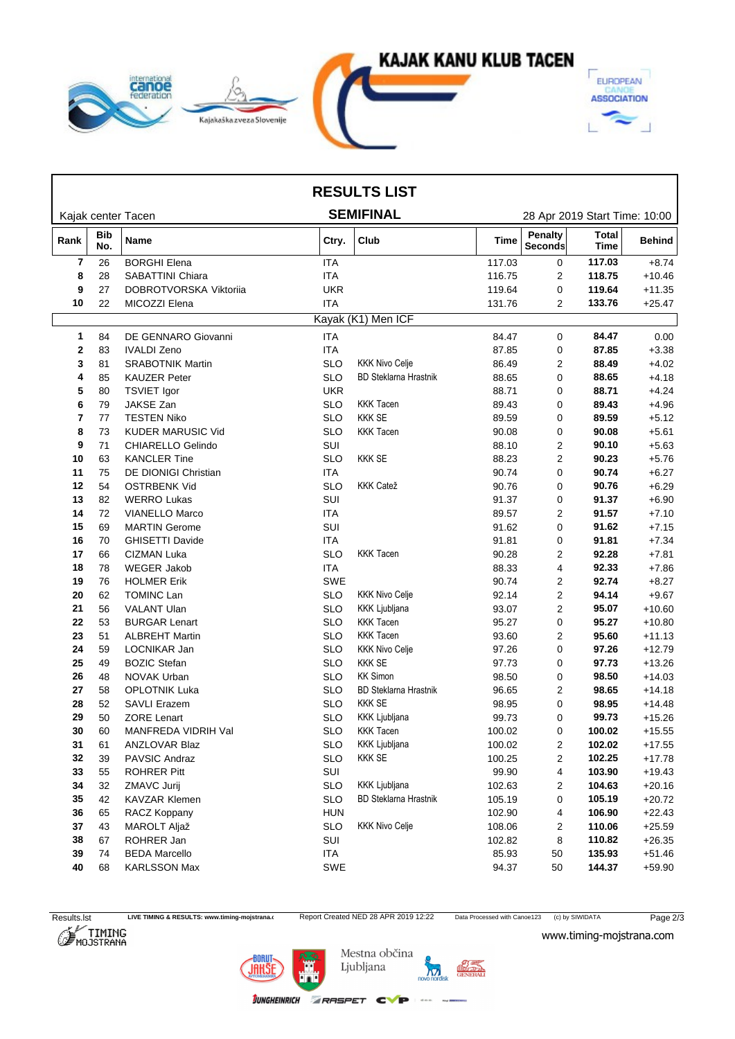

| <b>SEMIFINAL</b><br>Kajak center Tacen<br>28 Apr 2019 Start Time: 10:00<br><b>Penalty</b><br><b>Total</b><br>Bib<br>Name<br>Club<br>Ctry.<br>Time<br><b>Behind</b><br>Rank<br>No.<br><b>Seconds</b><br>Time<br><b>BORGHI Elena</b><br><b>ITA</b><br>117.03<br>7<br>26<br>0<br>117.03<br>$+8.74$<br><b>ITA</b><br>116.75<br>118.75<br>8<br>28<br><b>SABATTINI Chiara</b><br>$\overline{2}$<br>$+10.46$<br>27<br><b>UKR</b><br>DOBROTVORSKA Viktorija<br>119.64<br>119.64<br>9<br>0<br>22<br><b>ITA</b><br>133.76<br>10<br>MICOZZI Elena<br>131.76<br>$\overline{2}$<br>Kayak (K1) Men ICF<br><b>ITA</b><br>84.47<br>DE GENNARO Giovanni<br>0<br>84.47<br>84<br>1<br><b>ITA</b><br>87.85<br>2<br>83<br><b>IVALDI Zeno</b><br>87.85<br>0<br>$+3.38$<br><b>KKK Nivo Celje</b><br><b>SRABOTNIK Martin</b><br><b>SLO</b><br>2<br>$+4.02$<br>81<br>86.49<br>88.49<br>3<br><b>BD Steklarna Hrastnik</b><br>88.65<br>85<br><b>KAUZER Peter</b><br><b>SLO</b><br>88.65<br>0<br>$+4.18$<br>4<br><b>UKR</b><br>80<br><b>TSVIET Igor</b><br>88.71<br>0<br>88.71<br>$+4.24$<br>5<br>JAKSE Zan<br>79<br><b>SLO</b><br><b>KKK Tacen</b><br>0<br>$+4.96$<br>89.43<br>89.43<br>6<br><b>KKK SE</b><br>77<br><b>TESTEN Niko</b><br><b>SLO</b><br>89.59<br>89.59<br>0<br>$+5.12$<br>7<br><b>KKK Tacen</b><br>73<br><b>KUDER MARUSIC Vid</b><br><b>SLO</b><br>90.08<br>0<br>90.08<br>$+5.61$<br>8<br>9<br>71<br>CHIARELLO Gelindo<br>SUI<br>88.10<br>2<br>90.10<br>$+5.63$<br><b>SLO</b><br><b>KKK SE</b><br>$\overline{2}$<br>63<br><b>KANCLER Tine</b><br>88.23<br>90.23<br>$+5.76$<br>10<br>$\mathbf 0$<br>90.74<br>11<br>75<br>DE DIONIGI Christian<br><b>ITA</b><br>90.74<br>$+6.27$<br><b>KKK Catež</b><br>54<br><b>OSTRBENK Vid</b><br><b>SLO</b><br>90.76<br>0<br>$+6.29$<br>12<br>90.76<br>SUI<br>13<br>82<br><b>WERRO Lukas</b><br>91.37<br>0<br>91.37<br>$+6.90$<br>91.57<br>14<br>72<br><b>VIANELLO Marco</b><br><b>ITA</b><br>89.57<br>$+7.10$<br>2<br>SUI<br>69<br><b>MARTIN Gerome</b><br>91.62<br>0<br>$+7.15$<br>15<br>91.62<br><b>GHISETTI Davide</b><br><b>ITA</b><br>91.81<br>16<br>70<br>91.81<br>0<br>$+7.34$<br><b>KKK Tacen</b><br>66<br><b>CIZMAN Luka</b><br><b>SLO</b><br>90.28<br>2<br>$+7.81$<br>17<br>92.28<br><b>ITA</b><br>$\overline{4}$<br>78<br><b>WEGER Jakob</b><br>88.33<br>92.33<br>$+7.86$<br>18<br>76<br><b>HOLMER Erik</b><br>SWE<br>$\overline{2}$<br>92.74<br>19<br>90.74<br>$+8.27$<br><b>KKK Nivo Celje</b><br>TOMINC Lan<br><b>SLO</b><br>92.14<br>$\overline{2}$<br>94.14<br>$+9.67$<br>20<br>62<br><b>KKK Ljubljana</b><br>95.07<br>21<br>56<br><b>VALANT Ulan</b><br><b>SLO</b><br>93.07<br>2<br>$+10.60$<br><b>KKK Tacen</b><br>22<br>53<br><b>BURGAR Lenart</b><br><b>SLO</b><br>95.27<br>0<br>95.27<br>$+10.80$<br><b>KKK Tacen</b><br>$\overline{2}$<br>95.60<br>23<br>51<br><b>ALBREHT Martin</b><br><b>SLO</b><br>93.60<br>$+11.13$<br><b>KKK Nivo Celje</b><br>$\mathbf 0$<br>59<br>LOCNIKAR Jan<br><b>SLO</b><br>97.26<br>$+12.79$<br>24<br>97.26<br><b>KKK SE</b><br>49<br><b>BOZIC Stefan</b><br><b>SLO</b><br>97.73<br>0<br>97.73<br>$+13.26$<br>25<br><b>KK Simon</b><br>26<br>48<br>NOVAK Urban<br><b>SLO</b><br>98.50<br>0<br>98.50<br>$+14.03$<br><b>BD Steklarna Hrastnik</b><br>58<br><b>OPLOTNIK Luka</b><br><b>SLO</b><br>96.65<br>$+14.18$<br>27<br>2<br>98.65<br><b>KKK SE</b><br>98.95<br>28<br><b>SAVLI Erazem</b><br><b>SLO</b><br>0<br>$+14.48$<br>52<br>98.95<br>KKK Ljubljana<br>29<br>50<br><b>ZORE Lenart</b><br><b>SLO</b><br>99.73<br>0<br>99.73<br>$+15.26$<br>60<br>MANFREDA VIDRIH Val<br>SLO<br><b>KKK Tacen</b><br>100.02<br>100.02<br>$+15.55$<br>30<br>0<br>KKK Ljubljana<br>102.02<br>31<br>ANZLOVAR Blaz<br><b>SLO</b><br>100.02<br>$+17.55$<br>61<br>2<br><b>KKK SE</b><br><b>SLO</b><br>100.25<br>$+17.78$<br>32<br>39<br>PAVSIC Andraz<br>$\overline{c}$<br>102.25<br>33<br>SUI<br>99.90<br>103.90<br>$+19.43$<br>55<br><b>ROHRER Pitt</b><br>4<br><b>SLO</b><br>KKK Ljubljana<br>32<br>ZMAVC Jurij<br>102.63<br>104.63<br>$+20.16$<br>34<br>2<br>35<br>42<br><b>KAVZAR Klemen</b><br><b>SLO</b><br><b>BD Steklarna Hrastnik</b><br>105.19<br>105.19<br>$+20.72$<br>0<br>65<br><b>HUN</b><br>102.90<br>$+22.43$<br>RACZ Koppany<br>4<br>106.90<br>36<br><b>KKK Nivo Celje</b><br><b>SLO</b><br>43<br>MAROLT Aljaž<br>108.06<br>110.06<br>37<br>2<br>38<br>ROHRER Jan<br>SUI<br>110.82<br>67<br>102.82<br>8<br>ITA<br>85.93<br>135.93<br>39<br><b>BEDA Marcello</b><br>50<br>74<br>40<br>KARLSSON Max<br>144.37<br>68<br>SWE<br>94.37<br>50 |  |  | <b>RESULTS LIST</b> |  |          |
|-------------------------------------------------------------------------------------------------------------------------------------------------------------------------------------------------------------------------------------------------------------------------------------------------------------------------------------------------------------------------------------------------------------------------------------------------------------------------------------------------------------------------------------------------------------------------------------------------------------------------------------------------------------------------------------------------------------------------------------------------------------------------------------------------------------------------------------------------------------------------------------------------------------------------------------------------------------------------------------------------------------------------------------------------------------------------------------------------------------------------------------------------------------------------------------------------------------------------------------------------------------------------------------------------------------------------------------------------------------------------------------------------------------------------------------------------------------------------------------------------------------------------------------------------------------------------------------------------------------------------------------------------------------------------------------------------------------------------------------------------------------------------------------------------------------------------------------------------------------------------------------------------------------------------------------------------------------------------------------------------------------------------------------------------------------------------------------------------------------------------------------------------------------------------------------------------------------------------------------------------------------------------------------------------------------------------------------------------------------------------------------------------------------------------------------------------------------------------------------------------------------------------------------------------------------------------------------------------------------------------------------------------------------------------------------------------------------------------------------------------------------------------------------------------------------------------------------------------------------------------------------------------------------------------------------------------------------------------------------------------------------------------------------------------------------------------------------------------------------------------------------------------------------------------------------------------------------------------------------------------------------------------------------------------------------------------------------------------------------------------------------------------------------------------------------------------------------------------------------------------------------------------------------------------------------------------------------------------------------------------------------------------------------------------------------------------------------------------------------------------------------------------------------------------------------------------------------------------------------------------------------------------------------------------------------------------------------------------------------------------------------------------------------------------------------------------------------------------------------------------------------------------------------------------------------------------------------------------------------------------------------------------------------------------------------------------------------------------------------------------------------------------------------------------------------------------------------------------------------------------------------------|--|--|---------------------|--|----------|
|                                                                                                                                                                                                                                                                                                                                                                                                                                                                                                                                                                                                                                                                                                                                                                                                                                                                                                                                                                                                                                                                                                                                                                                                                                                                                                                                                                                                                                                                                                                                                                                                                                                                                                                                                                                                                                                                                                                                                                                                                                                                                                                                                                                                                                                                                                                                                                                                                                                                                                                                                                                                                                                                                                                                                                                                                                                                                                                                                                                                                                                                                                                                                                                                                                                                                                                                                                                                                                                                                                                                                                                                                                                                                                                                                                                                                                                                                                                                                                                                                                                                                                                                                                                                                                                                                                                                                                                                                                                                                                                   |  |  |                     |  |          |
|                                                                                                                                                                                                                                                                                                                                                                                                                                                                                                                                                                                                                                                                                                                                                                                                                                                                                                                                                                                                                                                                                                                                                                                                                                                                                                                                                                                                                                                                                                                                                                                                                                                                                                                                                                                                                                                                                                                                                                                                                                                                                                                                                                                                                                                                                                                                                                                                                                                                                                                                                                                                                                                                                                                                                                                                                                                                                                                                                                                                                                                                                                                                                                                                                                                                                                                                                                                                                                                                                                                                                                                                                                                                                                                                                                                                                                                                                                                                                                                                                                                                                                                                                                                                                                                                                                                                                                                                                                                                                                                   |  |  |                     |  |          |
|                                                                                                                                                                                                                                                                                                                                                                                                                                                                                                                                                                                                                                                                                                                                                                                                                                                                                                                                                                                                                                                                                                                                                                                                                                                                                                                                                                                                                                                                                                                                                                                                                                                                                                                                                                                                                                                                                                                                                                                                                                                                                                                                                                                                                                                                                                                                                                                                                                                                                                                                                                                                                                                                                                                                                                                                                                                                                                                                                                                                                                                                                                                                                                                                                                                                                                                                                                                                                                                                                                                                                                                                                                                                                                                                                                                                                                                                                                                                                                                                                                                                                                                                                                                                                                                                                                                                                                                                                                                                                                                   |  |  |                     |  |          |
|                                                                                                                                                                                                                                                                                                                                                                                                                                                                                                                                                                                                                                                                                                                                                                                                                                                                                                                                                                                                                                                                                                                                                                                                                                                                                                                                                                                                                                                                                                                                                                                                                                                                                                                                                                                                                                                                                                                                                                                                                                                                                                                                                                                                                                                                                                                                                                                                                                                                                                                                                                                                                                                                                                                                                                                                                                                                                                                                                                                                                                                                                                                                                                                                                                                                                                                                                                                                                                                                                                                                                                                                                                                                                                                                                                                                                                                                                                                                                                                                                                                                                                                                                                                                                                                                                                                                                                                                                                                                                                                   |  |  |                     |  |          |
|                                                                                                                                                                                                                                                                                                                                                                                                                                                                                                                                                                                                                                                                                                                                                                                                                                                                                                                                                                                                                                                                                                                                                                                                                                                                                                                                                                                                                                                                                                                                                                                                                                                                                                                                                                                                                                                                                                                                                                                                                                                                                                                                                                                                                                                                                                                                                                                                                                                                                                                                                                                                                                                                                                                                                                                                                                                                                                                                                                                                                                                                                                                                                                                                                                                                                                                                                                                                                                                                                                                                                                                                                                                                                                                                                                                                                                                                                                                                                                                                                                                                                                                                                                                                                                                                                                                                                                                                                                                                                                                   |  |  |                     |  | $+11.35$ |
|                                                                                                                                                                                                                                                                                                                                                                                                                                                                                                                                                                                                                                                                                                                                                                                                                                                                                                                                                                                                                                                                                                                                                                                                                                                                                                                                                                                                                                                                                                                                                                                                                                                                                                                                                                                                                                                                                                                                                                                                                                                                                                                                                                                                                                                                                                                                                                                                                                                                                                                                                                                                                                                                                                                                                                                                                                                                                                                                                                                                                                                                                                                                                                                                                                                                                                                                                                                                                                                                                                                                                                                                                                                                                                                                                                                                                                                                                                                                                                                                                                                                                                                                                                                                                                                                                                                                                                                                                                                                                                                   |  |  |                     |  | $+25.47$ |
|                                                                                                                                                                                                                                                                                                                                                                                                                                                                                                                                                                                                                                                                                                                                                                                                                                                                                                                                                                                                                                                                                                                                                                                                                                                                                                                                                                                                                                                                                                                                                                                                                                                                                                                                                                                                                                                                                                                                                                                                                                                                                                                                                                                                                                                                                                                                                                                                                                                                                                                                                                                                                                                                                                                                                                                                                                                                                                                                                                                                                                                                                                                                                                                                                                                                                                                                                                                                                                                                                                                                                                                                                                                                                                                                                                                                                                                                                                                                                                                                                                                                                                                                                                                                                                                                                                                                                                                                                                                                                                                   |  |  |                     |  |          |
|                                                                                                                                                                                                                                                                                                                                                                                                                                                                                                                                                                                                                                                                                                                                                                                                                                                                                                                                                                                                                                                                                                                                                                                                                                                                                                                                                                                                                                                                                                                                                                                                                                                                                                                                                                                                                                                                                                                                                                                                                                                                                                                                                                                                                                                                                                                                                                                                                                                                                                                                                                                                                                                                                                                                                                                                                                                                                                                                                                                                                                                                                                                                                                                                                                                                                                                                                                                                                                                                                                                                                                                                                                                                                                                                                                                                                                                                                                                                                                                                                                                                                                                                                                                                                                                                                                                                                                                                                                                                                                                   |  |  |                     |  | 0.00     |
|                                                                                                                                                                                                                                                                                                                                                                                                                                                                                                                                                                                                                                                                                                                                                                                                                                                                                                                                                                                                                                                                                                                                                                                                                                                                                                                                                                                                                                                                                                                                                                                                                                                                                                                                                                                                                                                                                                                                                                                                                                                                                                                                                                                                                                                                                                                                                                                                                                                                                                                                                                                                                                                                                                                                                                                                                                                                                                                                                                                                                                                                                                                                                                                                                                                                                                                                                                                                                                                                                                                                                                                                                                                                                                                                                                                                                                                                                                                                                                                                                                                                                                                                                                                                                                                                                                                                                                                                                                                                                                                   |  |  |                     |  |          |
|                                                                                                                                                                                                                                                                                                                                                                                                                                                                                                                                                                                                                                                                                                                                                                                                                                                                                                                                                                                                                                                                                                                                                                                                                                                                                                                                                                                                                                                                                                                                                                                                                                                                                                                                                                                                                                                                                                                                                                                                                                                                                                                                                                                                                                                                                                                                                                                                                                                                                                                                                                                                                                                                                                                                                                                                                                                                                                                                                                                                                                                                                                                                                                                                                                                                                                                                                                                                                                                                                                                                                                                                                                                                                                                                                                                                                                                                                                                                                                                                                                                                                                                                                                                                                                                                                                                                                                                                                                                                                                                   |  |  |                     |  |          |
|                                                                                                                                                                                                                                                                                                                                                                                                                                                                                                                                                                                                                                                                                                                                                                                                                                                                                                                                                                                                                                                                                                                                                                                                                                                                                                                                                                                                                                                                                                                                                                                                                                                                                                                                                                                                                                                                                                                                                                                                                                                                                                                                                                                                                                                                                                                                                                                                                                                                                                                                                                                                                                                                                                                                                                                                                                                                                                                                                                                                                                                                                                                                                                                                                                                                                                                                                                                                                                                                                                                                                                                                                                                                                                                                                                                                                                                                                                                                                                                                                                                                                                                                                                                                                                                                                                                                                                                                                                                                                                                   |  |  |                     |  |          |
|                                                                                                                                                                                                                                                                                                                                                                                                                                                                                                                                                                                                                                                                                                                                                                                                                                                                                                                                                                                                                                                                                                                                                                                                                                                                                                                                                                                                                                                                                                                                                                                                                                                                                                                                                                                                                                                                                                                                                                                                                                                                                                                                                                                                                                                                                                                                                                                                                                                                                                                                                                                                                                                                                                                                                                                                                                                                                                                                                                                                                                                                                                                                                                                                                                                                                                                                                                                                                                                                                                                                                                                                                                                                                                                                                                                                                                                                                                                                                                                                                                                                                                                                                                                                                                                                                                                                                                                                                                                                                                                   |  |  |                     |  |          |
|                                                                                                                                                                                                                                                                                                                                                                                                                                                                                                                                                                                                                                                                                                                                                                                                                                                                                                                                                                                                                                                                                                                                                                                                                                                                                                                                                                                                                                                                                                                                                                                                                                                                                                                                                                                                                                                                                                                                                                                                                                                                                                                                                                                                                                                                                                                                                                                                                                                                                                                                                                                                                                                                                                                                                                                                                                                                                                                                                                                                                                                                                                                                                                                                                                                                                                                                                                                                                                                                                                                                                                                                                                                                                                                                                                                                                                                                                                                                                                                                                                                                                                                                                                                                                                                                                                                                                                                                                                                                                                                   |  |  |                     |  |          |
|                                                                                                                                                                                                                                                                                                                                                                                                                                                                                                                                                                                                                                                                                                                                                                                                                                                                                                                                                                                                                                                                                                                                                                                                                                                                                                                                                                                                                                                                                                                                                                                                                                                                                                                                                                                                                                                                                                                                                                                                                                                                                                                                                                                                                                                                                                                                                                                                                                                                                                                                                                                                                                                                                                                                                                                                                                                                                                                                                                                                                                                                                                                                                                                                                                                                                                                                                                                                                                                                                                                                                                                                                                                                                                                                                                                                                                                                                                                                                                                                                                                                                                                                                                                                                                                                                                                                                                                                                                                                                                                   |  |  |                     |  |          |
|                                                                                                                                                                                                                                                                                                                                                                                                                                                                                                                                                                                                                                                                                                                                                                                                                                                                                                                                                                                                                                                                                                                                                                                                                                                                                                                                                                                                                                                                                                                                                                                                                                                                                                                                                                                                                                                                                                                                                                                                                                                                                                                                                                                                                                                                                                                                                                                                                                                                                                                                                                                                                                                                                                                                                                                                                                                                                                                                                                                                                                                                                                                                                                                                                                                                                                                                                                                                                                                                                                                                                                                                                                                                                                                                                                                                                                                                                                                                                                                                                                                                                                                                                                                                                                                                                                                                                                                                                                                                                                                   |  |  |                     |  |          |
|                                                                                                                                                                                                                                                                                                                                                                                                                                                                                                                                                                                                                                                                                                                                                                                                                                                                                                                                                                                                                                                                                                                                                                                                                                                                                                                                                                                                                                                                                                                                                                                                                                                                                                                                                                                                                                                                                                                                                                                                                                                                                                                                                                                                                                                                                                                                                                                                                                                                                                                                                                                                                                                                                                                                                                                                                                                                                                                                                                                                                                                                                                                                                                                                                                                                                                                                                                                                                                                                                                                                                                                                                                                                                                                                                                                                                                                                                                                                                                                                                                                                                                                                                                                                                                                                                                                                                                                                                                                                                                                   |  |  |                     |  |          |
|                                                                                                                                                                                                                                                                                                                                                                                                                                                                                                                                                                                                                                                                                                                                                                                                                                                                                                                                                                                                                                                                                                                                                                                                                                                                                                                                                                                                                                                                                                                                                                                                                                                                                                                                                                                                                                                                                                                                                                                                                                                                                                                                                                                                                                                                                                                                                                                                                                                                                                                                                                                                                                                                                                                                                                                                                                                                                                                                                                                                                                                                                                                                                                                                                                                                                                                                                                                                                                                                                                                                                                                                                                                                                                                                                                                                                                                                                                                                                                                                                                                                                                                                                                                                                                                                                                                                                                                                                                                                                                                   |  |  |                     |  |          |
|                                                                                                                                                                                                                                                                                                                                                                                                                                                                                                                                                                                                                                                                                                                                                                                                                                                                                                                                                                                                                                                                                                                                                                                                                                                                                                                                                                                                                                                                                                                                                                                                                                                                                                                                                                                                                                                                                                                                                                                                                                                                                                                                                                                                                                                                                                                                                                                                                                                                                                                                                                                                                                                                                                                                                                                                                                                                                                                                                                                                                                                                                                                                                                                                                                                                                                                                                                                                                                                                                                                                                                                                                                                                                                                                                                                                                                                                                                                                                                                                                                                                                                                                                                                                                                                                                                                                                                                                                                                                                                                   |  |  |                     |  |          |
|                                                                                                                                                                                                                                                                                                                                                                                                                                                                                                                                                                                                                                                                                                                                                                                                                                                                                                                                                                                                                                                                                                                                                                                                                                                                                                                                                                                                                                                                                                                                                                                                                                                                                                                                                                                                                                                                                                                                                                                                                                                                                                                                                                                                                                                                                                                                                                                                                                                                                                                                                                                                                                                                                                                                                                                                                                                                                                                                                                                                                                                                                                                                                                                                                                                                                                                                                                                                                                                                                                                                                                                                                                                                                                                                                                                                                                                                                                                                                                                                                                                                                                                                                                                                                                                                                                                                                                                                                                                                                                                   |  |  |                     |  |          |
|                                                                                                                                                                                                                                                                                                                                                                                                                                                                                                                                                                                                                                                                                                                                                                                                                                                                                                                                                                                                                                                                                                                                                                                                                                                                                                                                                                                                                                                                                                                                                                                                                                                                                                                                                                                                                                                                                                                                                                                                                                                                                                                                                                                                                                                                                                                                                                                                                                                                                                                                                                                                                                                                                                                                                                                                                                                                                                                                                                                                                                                                                                                                                                                                                                                                                                                                                                                                                                                                                                                                                                                                                                                                                                                                                                                                                                                                                                                                                                                                                                                                                                                                                                                                                                                                                                                                                                                                                                                                                                                   |  |  |                     |  |          |
|                                                                                                                                                                                                                                                                                                                                                                                                                                                                                                                                                                                                                                                                                                                                                                                                                                                                                                                                                                                                                                                                                                                                                                                                                                                                                                                                                                                                                                                                                                                                                                                                                                                                                                                                                                                                                                                                                                                                                                                                                                                                                                                                                                                                                                                                                                                                                                                                                                                                                                                                                                                                                                                                                                                                                                                                                                                                                                                                                                                                                                                                                                                                                                                                                                                                                                                                                                                                                                                                                                                                                                                                                                                                                                                                                                                                                                                                                                                                                                                                                                                                                                                                                                                                                                                                                                                                                                                                                                                                                                                   |  |  |                     |  |          |
|                                                                                                                                                                                                                                                                                                                                                                                                                                                                                                                                                                                                                                                                                                                                                                                                                                                                                                                                                                                                                                                                                                                                                                                                                                                                                                                                                                                                                                                                                                                                                                                                                                                                                                                                                                                                                                                                                                                                                                                                                                                                                                                                                                                                                                                                                                                                                                                                                                                                                                                                                                                                                                                                                                                                                                                                                                                                                                                                                                                                                                                                                                                                                                                                                                                                                                                                                                                                                                                                                                                                                                                                                                                                                                                                                                                                                                                                                                                                                                                                                                                                                                                                                                                                                                                                                                                                                                                                                                                                                                                   |  |  |                     |  |          |
|                                                                                                                                                                                                                                                                                                                                                                                                                                                                                                                                                                                                                                                                                                                                                                                                                                                                                                                                                                                                                                                                                                                                                                                                                                                                                                                                                                                                                                                                                                                                                                                                                                                                                                                                                                                                                                                                                                                                                                                                                                                                                                                                                                                                                                                                                                                                                                                                                                                                                                                                                                                                                                                                                                                                                                                                                                                                                                                                                                                                                                                                                                                                                                                                                                                                                                                                                                                                                                                                                                                                                                                                                                                                                                                                                                                                                                                                                                                                                                                                                                                                                                                                                                                                                                                                                                                                                                                                                                                                                                                   |  |  |                     |  |          |
|                                                                                                                                                                                                                                                                                                                                                                                                                                                                                                                                                                                                                                                                                                                                                                                                                                                                                                                                                                                                                                                                                                                                                                                                                                                                                                                                                                                                                                                                                                                                                                                                                                                                                                                                                                                                                                                                                                                                                                                                                                                                                                                                                                                                                                                                                                                                                                                                                                                                                                                                                                                                                                                                                                                                                                                                                                                                                                                                                                                                                                                                                                                                                                                                                                                                                                                                                                                                                                                                                                                                                                                                                                                                                                                                                                                                                                                                                                                                                                                                                                                                                                                                                                                                                                                                                                                                                                                                                                                                                                                   |  |  |                     |  |          |
|                                                                                                                                                                                                                                                                                                                                                                                                                                                                                                                                                                                                                                                                                                                                                                                                                                                                                                                                                                                                                                                                                                                                                                                                                                                                                                                                                                                                                                                                                                                                                                                                                                                                                                                                                                                                                                                                                                                                                                                                                                                                                                                                                                                                                                                                                                                                                                                                                                                                                                                                                                                                                                                                                                                                                                                                                                                                                                                                                                                                                                                                                                                                                                                                                                                                                                                                                                                                                                                                                                                                                                                                                                                                                                                                                                                                                                                                                                                                                                                                                                                                                                                                                                                                                                                                                                                                                                                                                                                                                                                   |  |  |                     |  |          |
|                                                                                                                                                                                                                                                                                                                                                                                                                                                                                                                                                                                                                                                                                                                                                                                                                                                                                                                                                                                                                                                                                                                                                                                                                                                                                                                                                                                                                                                                                                                                                                                                                                                                                                                                                                                                                                                                                                                                                                                                                                                                                                                                                                                                                                                                                                                                                                                                                                                                                                                                                                                                                                                                                                                                                                                                                                                                                                                                                                                                                                                                                                                                                                                                                                                                                                                                                                                                                                                                                                                                                                                                                                                                                                                                                                                                                                                                                                                                                                                                                                                                                                                                                                                                                                                                                                                                                                                                                                                                                                                   |  |  |                     |  |          |
|                                                                                                                                                                                                                                                                                                                                                                                                                                                                                                                                                                                                                                                                                                                                                                                                                                                                                                                                                                                                                                                                                                                                                                                                                                                                                                                                                                                                                                                                                                                                                                                                                                                                                                                                                                                                                                                                                                                                                                                                                                                                                                                                                                                                                                                                                                                                                                                                                                                                                                                                                                                                                                                                                                                                                                                                                                                                                                                                                                                                                                                                                                                                                                                                                                                                                                                                                                                                                                                                                                                                                                                                                                                                                                                                                                                                                                                                                                                                                                                                                                                                                                                                                                                                                                                                                                                                                                                                                                                                                                                   |  |  |                     |  |          |
|                                                                                                                                                                                                                                                                                                                                                                                                                                                                                                                                                                                                                                                                                                                                                                                                                                                                                                                                                                                                                                                                                                                                                                                                                                                                                                                                                                                                                                                                                                                                                                                                                                                                                                                                                                                                                                                                                                                                                                                                                                                                                                                                                                                                                                                                                                                                                                                                                                                                                                                                                                                                                                                                                                                                                                                                                                                                                                                                                                                                                                                                                                                                                                                                                                                                                                                                                                                                                                                                                                                                                                                                                                                                                                                                                                                                                                                                                                                                                                                                                                                                                                                                                                                                                                                                                                                                                                                                                                                                                                                   |  |  |                     |  |          |
|                                                                                                                                                                                                                                                                                                                                                                                                                                                                                                                                                                                                                                                                                                                                                                                                                                                                                                                                                                                                                                                                                                                                                                                                                                                                                                                                                                                                                                                                                                                                                                                                                                                                                                                                                                                                                                                                                                                                                                                                                                                                                                                                                                                                                                                                                                                                                                                                                                                                                                                                                                                                                                                                                                                                                                                                                                                                                                                                                                                                                                                                                                                                                                                                                                                                                                                                                                                                                                                                                                                                                                                                                                                                                                                                                                                                                                                                                                                                                                                                                                                                                                                                                                                                                                                                                                                                                                                                                                                                                                                   |  |  |                     |  |          |
|                                                                                                                                                                                                                                                                                                                                                                                                                                                                                                                                                                                                                                                                                                                                                                                                                                                                                                                                                                                                                                                                                                                                                                                                                                                                                                                                                                                                                                                                                                                                                                                                                                                                                                                                                                                                                                                                                                                                                                                                                                                                                                                                                                                                                                                                                                                                                                                                                                                                                                                                                                                                                                                                                                                                                                                                                                                                                                                                                                                                                                                                                                                                                                                                                                                                                                                                                                                                                                                                                                                                                                                                                                                                                                                                                                                                                                                                                                                                                                                                                                                                                                                                                                                                                                                                                                                                                                                                                                                                                                                   |  |  |                     |  |          |
|                                                                                                                                                                                                                                                                                                                                                                                                                                                                                                                                                                                                                                                                                                                                                                                                                                                                                                                                                                                                                                                                                                                                                                                                                                                                                                                                                                                                                                                                                                                                                                                                                                                                                                                                                                                                                                                                                                                                                                                                                                                                                                                                                                                                                                                                                                                                                                                                                                                                                                                                                                                                                                                                                                                                                                                                                                                                                                                                                                                                                                                                                                                                                                                                                                                                                                                                                                                                                                                                                                                                                                                                                                                                                                                                                                                                                                                                                                                                                                                                                                                                                                                                                                                                                                                                                                                                                                                                                                                                                                                   |  |  |                     |  |          |
|                                                                                                                                                                                                                                                                                                                                                                                                                                                                                                                                                                                                                                                                                                                                                                                                                                                                                                                                                                                                                                                                                                                                                                                                                                                                                                                                                                                                                                                                                                                                                                                                                                                                                                                                                                                                                                                                                                                                                                                                                                                                                                                                                                                                                                                                                                                                                                                                                                                                                                                                                                                                                                                                                                                                                                                                                                                                                                                                                                                                                                                                                                                                                                                                                                                                                                                                                                                                                                                                                                                                                                                                                                                                                                                                                                                                                                                                                                                                                                                                                                                                                                                                                                                                                                                                                                                                                                                                                                                                                                                   |  |  |                     |  |          |
|                                                                                                                                                                                                                                                                                                                                                                                                                                                                                                                                                                                                                                                                                                                                                                                                                                                                                                                                                                                                                                                                                                                                                                                                                                                                                                                                                                                                                                                                                                                                                                                                                                                                                                                                                                                                                                                                                                                                                                                                                                                                                                                                                                                                                                                                                                                                                                                                                                                                                                                                                                                                                                                                                                                                                                                                                                                                                                                                                                                                                                                                                                                                                                                                                                                                                                                                                                                                                                                                                                                                                                                                                                                                                                                                                                                                                                                                                                                                                                                                                                                                                                                                                                                                                                                                                                                                                                                                                                                                                                                   |  |  |                     |  |          |
|                                                                                                                                                                                                                                                                                                                                                                                                                                                                                                                                                                                                                                                                                                                                                                                                                                                                                                                                                                                                                                                                                                                                                                                                                                                                                                                                                                                                                                                                                                                                                                                                                                                                                                                                                                                                                                                                                                                                                                                                                                                                                                                                                                                                                                                                                                                                                                                                                                                                                                                                                                                                                                                                                                                                                                                                                                                                                                                                                                                                                                                                                                                                                                                                                                                                                                                                                                                                                                                                                                                                                                                                                                                                                                                                                                                                                                                                                                                                                                                                                                                                                                                                                                                                                                                                                                                                                                                                                                                                                                                   |  |  |                     |  |          |
|                                                                                                                                                                                                                                                                                                                                                                                                                                                                                                                                                                                                                                                                                                                                                                                                                                                                                                                                                                                                                                                                                                                                                                                                                                                                                                                                                                                                                                                                                                                                                                                                                                                                                                                                                                                                                                                                                                                                                                                                                                                                                                                                                                                                                                                                                                                                                                                                                                                                                                                                                                                                                                                                                                                                                                                                                                                                                                                                                                                                                                                                                                                                                                                                                                                                                                                                                                                                                                                                                                                                                                                                                                                                                                                                                                                                                                                                                                                                                                                                                                                                                                                                                                                                                                                                                                                                                                                                                                                                                                                   |  |  |                     |  |          |
|                                                                                                                                                                                                                                                                                                                                                                                                                                                                                                                                                                                                                                                                                                                                                                                                                                                                                                                                                                                                                                                                                                                                                                                                                                                                                                                                                                                                                                                                                                                                                                                                                                                                                                                                                                                                                                                                                                                                                                                                                                                                                                                                                                                                                                                                                                                                                                                                                                                                                                                                                                                                                                                                                                                                                                                                                                                                                                                                                                                                                                                                                                                                                                                                                                                                                                                                                                                                                                                                                                                                                                                                                                                                                                                                                                                                                                                                                                                                                                                                                                                                                                                                                                                                                                                                                                                                                                                                                                                                                                                   |  |  |                     |  |          |
|                                                                                                                                                                                                                                                                                                                                                                                                                                                                                                                                                                                                                                                                                                                                                                                                                                                                                                                                                                                                                                                                                                                                                                                                                                                                                                                                                                                                                                                                                                                                                                                                                                                                                                                                                                                                                                                                                                                                                                                                                                                                                                                                                                                                                                                                                                                                                                                                                                                                                                                                                                                                                                                                                                                                                                                                                                                                                                                                                                                                                                                                                                                                                                                                                                                                                                                                                                                                                                                                                                                                                                                                                                                                                                                                                                                                                                                                                                                                                                                                                                                                                                                                                                                                                                                                                                                                                                                                                                                                                                                   |  |  |                     |  |          |
|                                                                                                                                                                                                                                                                                                                                                                                                                                                                                                                                                                                                                                                                                                                                                                                                                                                                                                                                                                                                                                                                                                                                                                                                                                                                                                                                                                                                                                                                                                                                                                                                                                                                                                                                                                                                                                                                                                                                                                                                                                                                                                                                                                                                                                                                                                                                                                                                                                                                                                                                                                                                                                                                                                                                                                                                                                                                                                                                                                                                                                                                                                                                                                                                                                                                                                                                                                                                                                                                                                                                                                                                                                                                                                                                                                                                                                                                                                                                                                                                                                                                                                                                                                                                                                                                                                                                                                                                                                                                                                                   |  |  |                     |  |          |
|                                                                                                                                                                                                                                                                                                                                                                                                                                                                                                                                                                                                                                                                                                                                                                                                                                                                                                                                                                                                                                                                                                                                                                                                                                                                                                                                                                                                                                                                                                                                                                                                                                                                                                                                                                                                                                                                                                                                                                                                                                                                                                                                                                                                                                                                                                                                                                                                                                                                                                                                                                                                                                                                                                                                                                                                                                                                                                                                                                                                                                                                                                                                                                                                                                                                                                                                                                                                                                                                                                                                                                                                                                                                                                                                                                                                                                                                                                                                                                                                                                                                                                                                                                                                                                                                                                                                                                                                                                                                                                                   |  |  |                     |  |          |
|                                                                                                                                                                                                                                                                                                                                                                                                                                                                                                                                                                                                                                                                                                                                                                                                                                                                                                                                                                                                                                                                                                                                                                                                                                                                                                                                                                                                                                                                                                                                                                                                                                                                                                                                                                                                                                                                                                                                                                                                                                                                                                                                                                                                                                                                                                                                                                                                                                                                                                                                                                                                                                                                                                                                                                                                                                                                                                                                                                                                                                                                                                                                                                                                                                                                                                                                                                                                                                                                                                                                                                                                                                                                                                                                                                                                                                                                                                                                                                                                                                                                                                                                                                                                                                                                                                                                                                                                                                                                                                                   |  |  |                     |  |          |
|                                                                                                                                                                                                                                                                                                                                                                                                                                                                                                                                                                                                                                                                                                                                                                                                                                                                                                                                                                                                                                                                                                                                                                                                                                                                                                                                                                                                                                                                                                                                                                                                                                                                                                                                                                                                                                                                                                                                                                                                                                                                                                                                                                                                                                                                                                                                                                                                                                                                                                                                                                                                                                                                                                                                                                                                                                                                                                                                                                                                                                                                                                                                                                                                                                                                                                                                                                                                                                                                                                                                                                                                                                                                                                                                                                                                                                                                                                                                                                                                                                                                                                                                                                                                                                                                                                                                                                                                                                                                                                                   |  |  |                     |  |          |
|                                                                                                                                                                                                                                                                                                                                                                                                                                                                                                                                                                                                                                                                                                                                                                                                                                                                                                                                                                                                                                                                                                                                                                                                                                                                                                                                                                                                                                                                                                                                                                                                                                                                                                                                                                                                                                                                                                                                                                                                                                                                                                                                                                                                                                                                                                                                                                                                                                                                                                                                                                                                                                                                                                                                                                                                                                                                                                                                                                                                                                                                                                                                                                                                                                                                                                                                                                                                                                                                                                                                                                                                                                                                                                                                                                                                                                                                                                                                                                                                                                                                                                                                                                                                                                                                                                                                                                                                                                                                                                                   |  |  |                     |  |          |
|                                                                                                                                                                                                                                                                                                                                                                                                                                                                                                                                                                                                                                                                                                                                                                                                                                                                                                                                                                                                                                                                                                                                                                                                                                                                                                                                                                                                                                                                                                                                                                                                                                                                                                                                                                                                                                                                                                                                                                                                                                                                                                                                                                                                                                                                                                                                                                                                                                                                                                                                                                                                                                                                                                                                                                                                                                                                                                                                                                                                                                                                                                                                                                                                                                                                                                                                                                                                                                                                                                                                                                                                                                                                                                                                                                                                                                                                                                                                                                                                                                                                                                                                                                                                                                                                                                                                                                                                                                                                                                                   |  |  |                     |  |          |
|                                                                                                                                                                                                                                                                                                                                                                                                                                                                                                                                                                                                                                                                                                                                                                                                                                                                                                                                                                                                                                                                                                                                                                                                                                                                                                                                                                                                                                                                                                                                                                                                                                                                                                                                                                                                                                                                                                                                                                                                                                                                                                                                                                                                                                                                                                                                                                                                                                                                                                                                                                                                                                                                                                                                                                                                                                                                                                                                                                                                                                                                                                                                                                                                                                                                                                                                                                                                                                                                                                                                                                                                                                                                                                                                                                                                                                                                                                                                                                                                                                                                                                                                                                                                                                                                                                                                                                                                                                                                                                                   |  |  |                     |  | $+25.59$ |
|                                                                                                                                                                                                                                                                                                                                                                                                                                                                                                                                                                                                                                                                                                                                                                                                                                                                                                                                                                                                                                                                                                                                                                                                                                                                                                                                                                                                                                                                                                                                                                                                                                                                                                                                                                                                                                                                                                                                                                                                                                                                                                                                                                                                                                                                                                                                                                                                                                                                                                                                                                                                                                                                                                                                                                                                                                                                                                                                                                                                                                                                                                                                                                                                                                                                                                                                                                                                                                                                                                                                                                                                                                                                                                                                                                                                                                                                                                                                                                                                                                                                                                                                                                                                                                                                                                                                                                                                                                                                                                                   |  |  |                     |  | $+26.35$ |
|                                                                                                                                                                                                                                                                                                                                                                                                                                                                                                                                                                                                                                                                                                                                                                                                                                                                                                                                                                                                                                                                                                                                                                                                                                                                                                                                                                                                                                                                                                                                                                                                                                                                                                                                                                                                                                                                                                                                                                                                                                                                                                                                                                                                                                                                                                                                                                                                                                                                                                                                                                                                                                                                                                                                                                                                                                                                                                                                                                                                                                                                                                                                                                                                                                                                                                                                                                                                                                                                                                                                                                                                                                                                                                                                                                                                                                                                                                                                                                                                                                                                                                                                                                                                                                                                                                                                                                                                                                                                                                                   |  |  |                     |  | $+51.46$ |
|                                                                                                                                                                                                                                                                                                                                                                                                                                                                                                                                                                                                                                                                                                                                                                                                                                                                                                                                                                                                                                                                                                                                                                                                                                                                                                                                                                                                                                                                                                                                                                                                                                                                                                                                                                                                                                                                                                                                                                                                                                                                                                                                                                                                                                                                                                                                                                                                                                                                                                                                                                                                                                                                                                                                                                                                                                                                                                                                                                                                                                                                                                                                                                                                                                                                                                                                                                                                                                                                                                                                                                                                                                                                                                                                                                                                                                                                                                                                                                                                                                                                                                                                                                                                                                                                                                                                                                                                                                                                                                                   |  |  |                     |  | $+59.90$ |

Results.lst LIVE TIMING & RESULTS: www.timing-mojstrana.com<br>
Report Created NED 28 APR 2019 12:22 Data Processed with Canoe123 (c) by SIWIDATA Page 2/3<br>
MOJSTRANA WWW.timing-mojstrana.com

www.timing-mojstrana.com



Mestna občina Ljubljana

**JUNGHEINRICH ZRASPET CVP** 

 $\mathbf{M}$ 

 $d$ oo

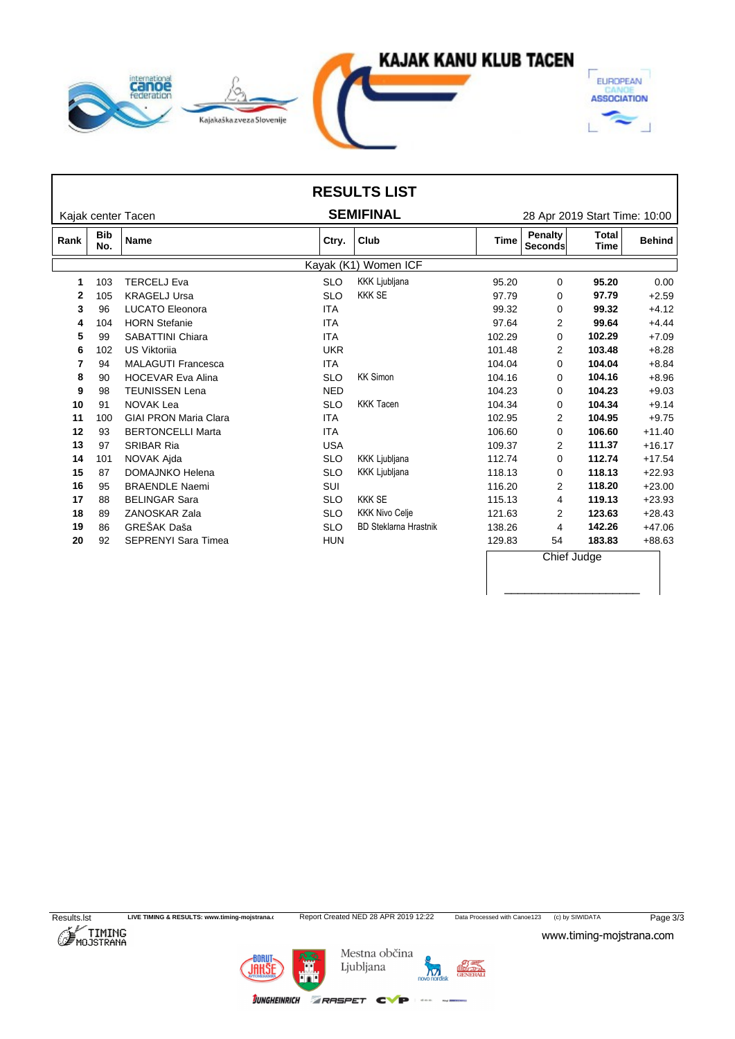

|      |                   |                              |            | <b>RESULTS LIST</b>          |             |                               |                             |               |
|------|-------------------|------------------------------|------------|------------------------------|-------------|-------------------------------|-----------------------------|---------------|
|      |                   | Kajak center Tacen           |            | <b>SEMIFINAL</b>             |             | 28 Apr 2019 Start Time: 10:00 |                             |               |
| Rank | <b>Bib</b><br>No. | Name                         | Ctry.      | Club                         | <b>Time</b> | Penalty<br>Seconds            | <b>Total</b><br><b>Time</b> | <b>Behind</b> |
|      |                   |                              |            | Kayak (K1) Women ICF         |             |                               |                             |               |
|      | 103               | <b>TERCELJ Eva</b>           | <b>SLO</b> | <b>KKK Ljubljana</b>         | 95.20       | 0                             | 95.20                       | 0.00          |
| 2    | 105               | <b>KRAGELJ Ursa</b>          | <b>SLO</b> | <b>KKK SE</b>                | 97.79       | 0                             | 97.79                       | $+2.59$       |
| 3    | 96                | <b>LUCATO Eleonora</b>       | <b>ITA</b> |                              | 99.32       | 0                             | 99.32                       | $+4.12$       |
|      | 104               | <b>HORN Stefanie</b>         | <b>ITA</b> |                              | 97.64       | 2                             | 99.64                       | $+4.44$       |
| 5    | 99                | <b>SABATTINI Chiara</b>      | <b>ITA</b> |                              | 102.29      | 0                             | 102.29                      | $+7.09$       |
| 6    | 102               | <b>US Viktorija</b>          | <b>UKR</b> |                              | 101.48      | 2                             | 103.48                      | $+8.28$       |
| 7    | 94                | <b>MALAGUTI Francesca</b>    | <b>ITA</b> |                              | 104.04      | 0                             | 104.04                      | $+8.84$       |
| 8    | 90                | <b>HOCEVAR Eva Alina</b>     | <b>SLO</b> | <b>KK Simon</b>              | 104.16      | 0                             | 104.16                      | $+8.96$       |
| 9    | 98                | <b>TEUNISSEN Lena</b>        | <b>NED</b> |                              | 104.23      | $\Omega$                      | 104.23                      | $+9.03$       |
| 10   | 91                | <b>NOVAK Lea</b>             | <b>SLO</b> | <b>KKK Tacen</b>             | 104.34      | 0                             | 104.34                      | $+9.14$       |
| 11   | 100               | <b>GIAI PRON Maria Clara</b> | <b>ITA</b> |                              | 102.95      | 2                             | 104.95                      | $+9.75$       |
| 12   | 93                | <b>BERTONCELLI Marta</b>     | <b>ITA</b> |                              | 106.60      | $\Omega$                      | 106.60                      | $+11.40$      |
| 13   | 97                | <b>SRIBAR Ria</b>            | <b>USA</b> |                              | 109.37      | $\overline{2}$                | 111.37                      | $+16.17$      |
| 14   | 101               | NOVAK Ajda                   | <b>SLO</b> | <b>KKK Ljubljana</b>         | 112.74      | 0                             | 112.74                      | $+17.54$      |
| 15   | 87                | DOMAJNKO Helena              | <b>SLO</b> | <b>KKK Ljubljana</b>         | 118.13      | $\Omega$                      | 118.13                      | $+22.93$      |
| 16   | 95                | <b>BRAENDLE Naemi</b>        | SUI        |                              | 116.20      | 2                             | 118.20                      | $+23.00$      |
| 17   | 88                | <b>BELINGAR Sara</b>         | <b>SLO</b> | <b>KKK SE</b>                | 115.13      | 4                             | 119.13                      | $+23.93$      |
| 18   | 89                | ZANOSKAR Zala                | <b>SLO</b> | <b>KKK Nivo Celje</b>        | 121.63      | 2                             | 123.63                      | $+28.43$      |
| 19   | 86                | GREŠAK Daša                  | <b>SLO</b> | <b>BD Steklarna Hrastnik</b> | 138.26      | 4                             | 142.26                      | $+47.06$      |
| 20   | 92                | <b>SEPRENYI Sara Timea</b>   | <b>HUN</b> |                              | 129.83      | 54                            | 183.83                      | +88.63        |
|      |                   |                              |            |                              |             | Chief Judge                   |                             |               |

Results.lst LIVE TIMING & RESULTS: www.timing-mojstrana.com<br>
Report Created NED 28 APR 2019 12:22 Data Processed with Canoe123 (c) by SIWIDATA Page 3/3<br>
MOJSTRANA WWW.timing-mojstrana.com

\_\_\_\_\_\_\_\_\_\_\_\_\_\_\_\_\_\_\_\_



**BORUT** 

Mestna občina Ljubljana

 $\sum_{\text{BAL}}$ novo nordisk

 $d$ oo

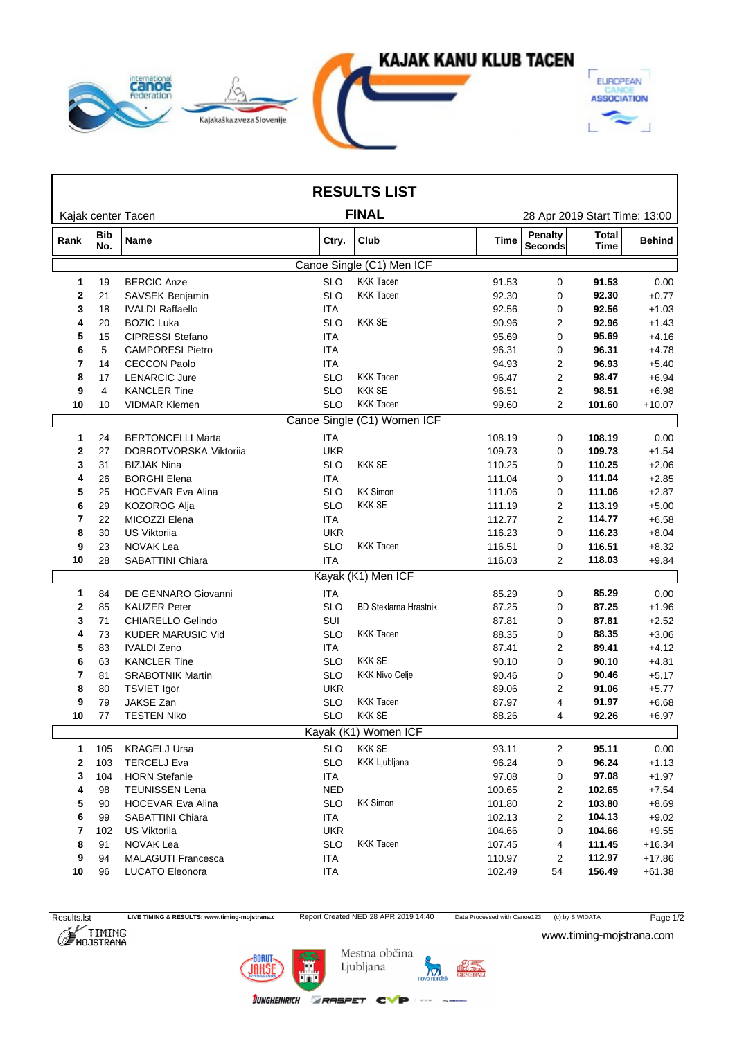

|              |                   |                           |            | <b>RESULTS LIST</b>          |        |                           |                               |               |
|--------------|-------------------|---------------------------|------------|------------------------------|--------|---------------------------|-------------------------------|---------------|
|              |                   | Kajak center Tacen        |            | <b>FINAL</b>                 |        |                           | 28 Apr 2019 Start Time: 13:00 |               |
| Rank         | <b>Bib</b><br>No. | Name                      | Ctry.      | Club                         | Time   | <b>Penalty</b><br>Seconds | Total<br>Time                 | <b>Behind</b> |
|              |                   |                           |            | Canoe Single (C1) Men ICF    |        |                           |                               |               |
| $\mathbf 1$  | 19                | <b>BERCIC Anze</b>        | <b>SLO</b> | <b>KKK Tacen</b>             | 91.53  | 0                         | 91.53                         | 0.00          |
| $\mathbf{2}$ | 21                | SAVSEK Benjamin           | <b>SLO</b> | <b>KKK Tacen</b>             | 92.30  | 0                         | 92.30                         | $+0.77$       |
| 3            | 18                | <b>IVALDI Raffaello</b>   | <b>ITA</b> |                              | 92.56  | 0                         | 92.56                         | $+1.03$       |
| 4            | 20                | <b>BOZIC Luka</b>         | <b>SLO</b> | <b>KKK SE</b>                | 90.96  | 2                         | 92.96                         | $+1.43$       |
| 5            | 15                | <b>CIPRESSI Stefano</b>   | <b>ITA</b> |                              | 95.69  | 0                         | 95.69                         | $+4.16$       |
| 6            | 5                 | <b>CAMPORESI Pietro</b>   | <b>ITA</b> |                              | 96.31  | 0                         | 96.31                         | $+4.78$       |
| 7            | 14                | <b>CECCON Paolo</b>       | <b>ITA</b> |                              | 94.93  | 2                         | 96.93                         | $+5.40$       |
| 8            | 17                | <b>LENARCIC Jure</b>      | <b>SLO</b> | <b>KKK Tacen</b>             | 96.47  | 2                         | 98.47                         | $+6.94$       |
| 9            | 4                 | <b>KANCLER Tine</b>       | <b>SLO</b> | <b>KKK SE</b>                | 96.51  | 2                         | 98.51                         | $+6.98$       |
| 10           | 10                | VIDMAR Klemen             | <b>SLO</b> | <b>KKK Tacen</b>             | 99.60  | $\overline{2}$            | 101.60                        | $+10.07$      |
|              |                   |                           |            | Canoe Single (C1) Women ICF  |        |                           |                               |               |
| $\mathbf{1}$ | 24                | <b>BERTONCELLI Marta</b>  | <b>ITA</b> |                              | 108.19 | $\mathbf 0$               | 108.19                        | 0.00          |
| 2            | 27                | DOBROTVORSKA Viktorija    | <b>UKR</b> |                              | 109.73 | 0                         | 109.73                        | $+1.54$       |
| 3            | 31                | <b>BIZJAK Nina</b>        | <b>SLO</b> | <b>KKK SE</b>                | 110.25 | 0                         | 110.25                        | $+2.06$       |
| 4            | 26                | <b>BORGHI Elena</b>       | ITA        |                              | 111.04 | 0                         | 111.04                        | $+2.85$       |
| 5            | 25                | <b>HOCEVAR Eva Alina</b>  | <b>SLO</b> | <b>KK Simon</b>              | 111.06 | 0                         | 111.06                        | $+2.87$       |
| 6            | 29                | KOZOROG Alja              | <b>SLO</b> | <b>KKK SE</b>                | 111.19 | 2                         | 113.19                        | $+5.00$       |
| 7            | 22                | MICOZZI Elena             | ITA        |                              | 112.77 | 2                         | 114.77                        | $+6.58$       |
| 8            | 30                | <b>US Viktoriia</b>       | <b>UKR</b> |                              | 116.23 | 0                         | 116.23                        | $+8.04$       |
| 9            | 23                | NOVAK Lea                 | <b>SLO</b> | <b>KKK Tacen</b>             | 116.51 | 0                         | 116.51                        | $+8.32$       |
| 10           | 28                | SABATTINI Chiara          | <b>ITA</b> |                              | 116.03 | $\overline{2}$            | 118.03                        | $+9.84$       |
|              |                   |                           |            | Kayak (K1) Men ICF           |        |                           |                               |               |
| $\mathbf 1$  | 84                | DE GENNARO Giovanni       | <b>ITA</b> |                              | 85.29  | 0                         | 85.29                         | 0.00          |
| 2            | 85                | <b>KAUZER Peter</b>       | <b>SLO</b> | <b>BD Steklarna Hrastnik</b> | 87.25  | 0                         | 87.25                         | $+1.96$       |
| 3            | 71                | CHIARELLO Gelindo         | SUI        |                              | 87.81  | 0                         | 87.81                         | $+2.52$       |
| 4            | 73                | <b>KUDER MARUSIC Vid</b>  | <b>SLO</b> | <b>KKK Tacen</b>             | 88.35  | 0                         | 88.35                         | $+3.06$       |
| 5            | 83                | <b>IVALDI Zeno</b>        | <b>ITA</b> |                              | 87.41  | 2                         | 89.41                         | $+4.12$       |
| 6            | 63                | <b>KANCLER Tine</b>       | <b>SLO</b> | <b>KKK SE</b>                | 90.10  | 0                         | 90.10                         | $+4.81$       |
| 7            | 81                | <b>SRABOTNIK Martin</b>   | SLO.       | <b>KKK Nivo Celje</b>        | 90.46  | 0                         | 90.46                         | $+5.17$       |
| 8            | 80                | <b>TSVIET Igor</b>        | <b>UKR</b> |                              | 89.06  | 2                         | 91.06                         | $+5.77$       |
| 9            | 79                | JAKSE Zan                 | <b>SLO</b> | <b>KKK Tacen</b>             | 87.97  | 4                         | 91.97                         | $+6.68$       |
| 10           | 77                | <b>TESTEN Niko</b>        | <b>SLO</b> | <b>KKK SE</b>                | 88.26  | 4                         | 92.26                         | $+6.97$       |
|              |                   |                           |            | Kayak (K1) Women ICF         |        |                           |                               |               |
| $\mathbf{1}$ | 105               | <b>KRAGELJ Ursa</b>       | <b>SLO</b> | <b>KKK SE</b>                | 93.11  | 2                         | 95.11                         | 0.00          |
| $\mathbf{2}$ | 103               | <b>TERCELJ Eva</b>        | <b>SLO</b> | KKK Ljubljana                | 96.24  | 0                         | 96.24                         | $+1.13$       |
| 3            | 104               | <b>HORN Stefanie</b>      | ITA        |                              | 97.08  | 0                         | 97.08                         | $+1.97$       |
| 4            | 98                | <b>TEUNISSEN Lena</b>     | <b>NED</b> |                              | 100.65 | 2                         | 102.65                        | $+7.54$       |
| 5            | 90                | <b>HOCEVAR Eva Alina</b>  | <b>SLO</b> | <b>KK Simon</b>              | 101.80 | $\overline{2}$            | 103.80                        | $+8.69$       |
| 6            | 99                | <b>SABATTINI Chiara</b>   | ITA        |                              | 102.13 | 2                         | 104.13                        | $+9.02$       |
| 7            | 102               | US Viktoriia              | <b>UKR</b> |                              | 104.66 | 0                         | 104.66                        | $+9.55$       |
| 8            | 91                | NOVAK Lea                 | <b>SLO</b> | <b>KKK Tacen</b>             | 107.45 | 4                         | 111.45                        | $+16.34$      |
| 9            | 94                | <b>MALAGUTI Francesca</b> | ITA        |                              | 110.97 | $\overline{c}$            | 112.97                        | $+17.86$      |
| 10           | 96                | LUCATO Eleonora           | <b>ITA</b> |                              | 102.49 | 54                        | 156.49                        | $+61.38$      |
|              |                   |                           |            |                              |        |                           |                               |               |

Results.lst LIVE TIMING & RESULTS: www.timing-mojstrana.com<br>
Report Created NED 28 APR 2019 14:40 Data Processed with Canoe123 (c) by SIWIDATA Page 1/2<br>
MOJSTRANA WWW.timing-mojstrana.com

www.timing-mojstrana.com

**27.04. - 28.04.19**

Г



Mestna občina Ljubljana

**JUNGHEINRICH ZRASPET CVP** 



 $1.400$  matrix